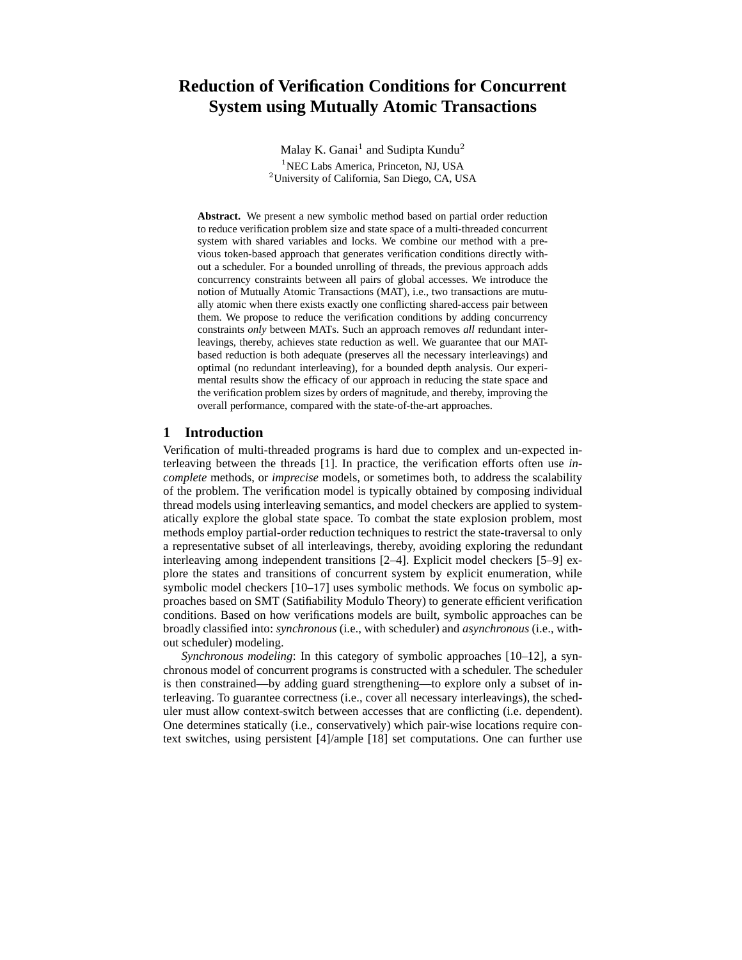# **Reduction of Verification Conditions for Concurrent System using Mutually Atomic Transactions**

Malay K. Ganai<sup>1</sup> and Sudipta Kundu<sup>2</sup> <sup>1</sup>NEC Labs America, Princeton, NJ, USA <sup>2</sup>University of California, San Diego, CA, USA

**Abstract.** We present a new symbolic method based on partial order reduction to reduce verification problem size and state space of a multi-threaded concurrent system with shared variables and locks. We combine our method with a previous token-based approach that generates verification conditions directly without a scheduler. For a bounded unrolling of threads, the previous approach adds concurrency constraints between all pairs of global accesses. We introduce the notion of Mutually Atomic Transactions (MAT), i.e., two transactions are mutually atomic when there exists exactly one conflicting shared-access pair between them. We propose to reduce the verification conditions by adding concurrency constraints *only* between MATs. Such an approach removes *all* redundant interleavings, thereby, achieves state reduction as well. We guarantee that our MATbased reduction is both adequate (preserves all the necessary interleavings) and optimal (no redundant interleaving), for a bounded depth analysis. Our experimental results show the efficacy of our approach in reducing the state space and the verification problem sizes by orders of magnitude, and thereby, improving the overall performance, compared with the state-of-the-art approaches.

## **1 Introduction**

Verification of multi-threaded programs is hard due to complex and un-expected interleaving between the threads [1]. In practice, the verification efforts often use *incomplete* methods, or *imprecise* models, or sometimes both, to address the scalability of the problem. The verification model is typically obtained by composing individual thread models using interleaving semantics, and model checkers are applied to systematically explore the global state space. To combat the state explosion problem, most methods employ partial-order reduction techniques to restrict the state-traversal to only a representative subset of all interleavings, thereby, avoiding exploring the redundant interleaving among independent transitions [2–4]. Explicit model checkers [5–9] explore the states and transitions of concurrent system by explicit enumeration, while symbolic model checkers [10–17] uses symbolic methods. We focus on symbolic approaches based on SMT (Satifiability Modulo Theory) to generate efficient verification conditions. Based on how verifications models are built, symbolic approaches can be broadly classified into: *synchronous* (i.e., with scheduler) and *asynchronous* (i.e., without scheduler) modeling.

*Synchronous modeling*: In this category of symbolic approaches [10–12], a synchronous model of concurrent programs is constructed with a scheduler. The scheduler is then constrained—by adding guard strengthening—to explore only a subset of interleaving. To guarantee correctness (i.e., cover all necessary interleavings), the scheduler must allow context-switch between accesses that are conflicting (i.e. dependent). One determines statically (i.e., conservatively) which pair-wise locations require context switches, using persistent [4]/ample [18] set computations. One can further use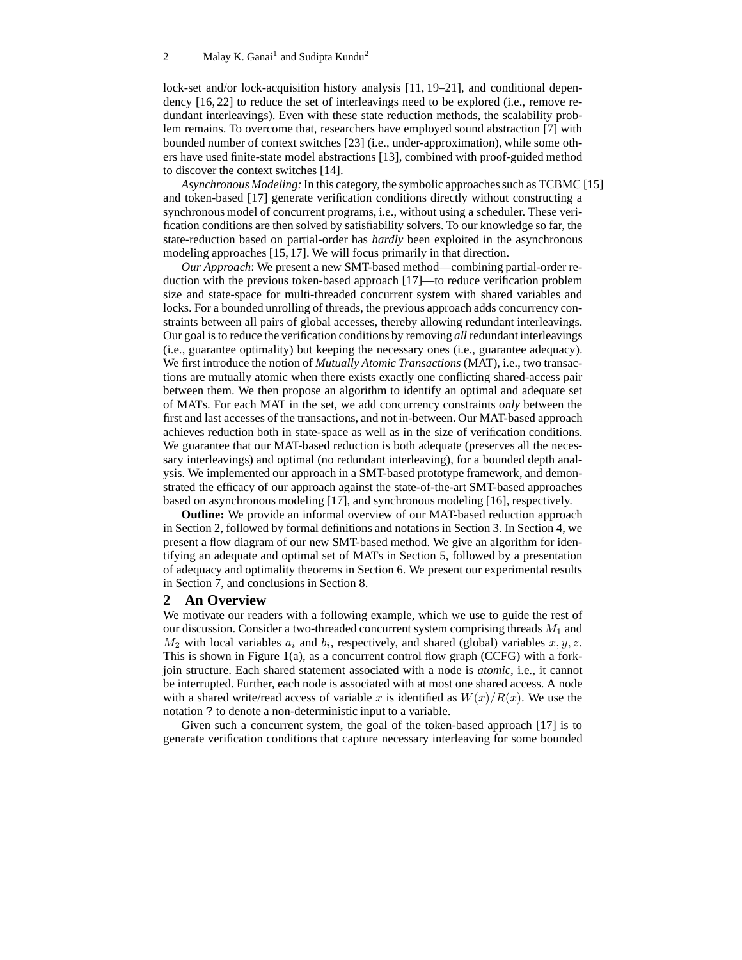lock-set and/or lock-acquisition history analysis [11, 19–21], and conditional dependency [16, 22] to reduce the set of interleavings need to be explored (i.e., remove redundant interleavings). Even with these state reduction methods, the scalability problem remains. To overcome that, researchers have employed sound abstraction [7] with bounded number of context switches [23] (i.e., under-approximation), while some others have used finite-state model abstractions [13], combined with proof-guided method to discover the context switches [14].

*Asynchronous Modeling:*In this category, the symbolic approaches such as TCBMC [15] and token-based [17] generate verification conditions directly without constructing a synchronous model of concurrent programs, i.e., without using a scheduler. These verification conditions are then solved by satisfiability solvers. To our knowledge so far, the state-reduction based on partial-order has *hardly* been exploited in the asynchronous modeling approaches [15, 17]. We will focus primarily in that direction.

*Our Approach*: We present a new SMT-based method—combining partial-order reduction with the previous token-based approach [17]—to reduce verification problem size and state-space for multi-threaded concurrent system with shared variables and locks. For a bounded unrolling of threads, the previous approach adds concurrency constraints between all pairs of global accesses, thereby allowing redundant interleavings. Our goal is to reduce the verification conditions by removing *all* redundant interleavings (i.e., guarantee optimality) but keeping the necessary ones (i.e., guarantee adequacy). We first introduce the notion of *Mutually Atomic Transactions* (MAT), i.e., two transactions are mutually atomic when there exists exactly one conflicting shared-access pair between them. We then propose an algorithm to identify an optimal and adequate set of MATs. For each MAT in the set, we add concurrency constraints *only* between the first and last accesses of the transactions, and not in-between. Our MAT-based approach achieves reduction both in state-space as well as in the size of verification conditions. We guarantee that our MAT-based reduction is both adequate (preserves all the necessary interleavings) and optimal (no redundant interleaving), for a bounded depth analysis. We implemented our approach in a SMT-based prototype framework, and demonstrated the efficacy of our approach against the state-of-the-art SMT-based approaches based on asynchronous modeling [17], and synchronous modeling [16], respectively.

**Outline:** We provide an informal overview of our MAT-based reduction approach in Section 2, followed by formal definitions and notations in Section 3. In Section 4, we present a flow diagram of our new SMT-based method. We give an algorithm for identifying an adequate and optimal set of MATs in Section 5, followed by a presentation of adequacy and optimality theorems in Section 6. We present our experimental results in Section 7, and conclusions in Section 8.

#### **2 An Overview**

We motivate our readers with a following example, which we use to guide the rest of our discussion. Consider a two-threaded concurrent system comprising threads  $M_1$  and  $M_2$  with local variables  $a_i$  and  $b_i$ , respectively, and shared (global) variables  $x, y, z$ . This is shown in Figure 1(a), as a concurrent control flow graph (CCFG) with a forkjoin structure. Each shared statement associated with a node is *atomic*, i.e., it cannot be interrupted. Further, each node is associated with at most one shared access. A node with a shared write/read access of variable x is identified as  $W(x)/R(x)$ . We use the notation ? to denote a non-deterministic input to a variable.

Given such a concurrent system, the goal of the token-based approach [17] is to generate verification conditions that capture necessary interleaving for some bounded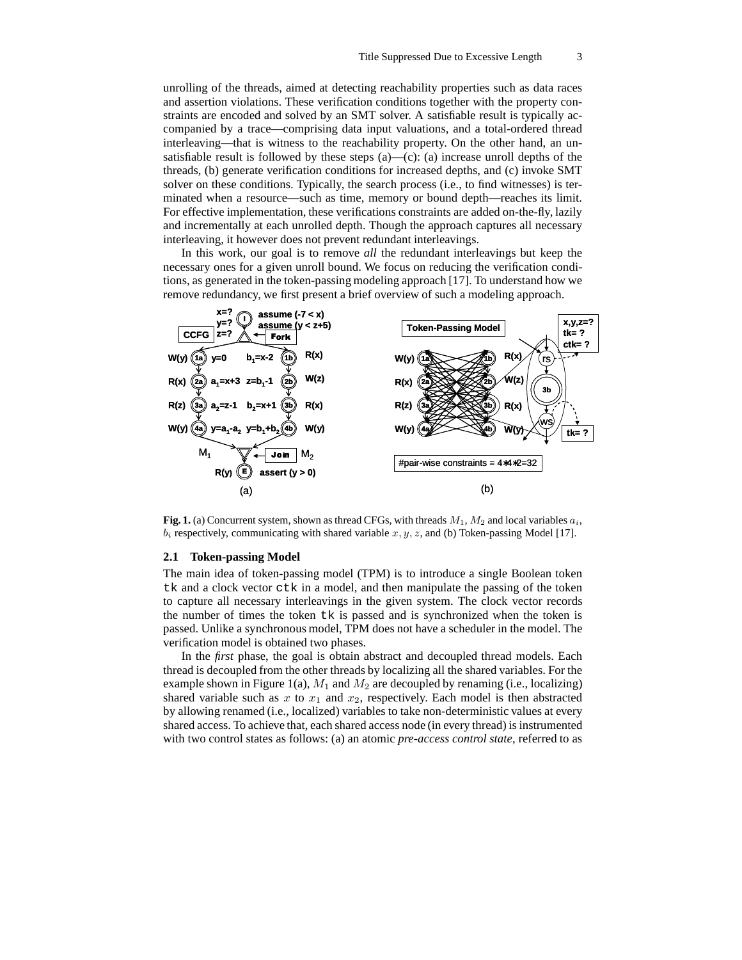unrolling of the threads, aimed at detecting reachability properties such as data races and assertion violations. These verification conditions together with the property constraints are encoded and solved by an SMT solver. A satisfiable result is typically accompanied by a trace—comprising data input valuations, and a total-ordered thread interleaving—that is witness to the reachability property. On the other hand, an unsatisfiable result is followed by these steps  $(a)$ — $(c)$ :  $(a)$  increase unroll depths of the threads, (b) generate verification conditions for increased depths, and (c) invoke SMT solver on these conditions. Typically, the search process (i.e., to find witnesses) is terminated when a resource—such as time, memory or bound depth—reaches its limit. For effective implementation, these verifications constraints are added on-the-fly, lazily and incrementally at each unrolled depth. Though the approach captures all necessary interleaving, it however does not prevent redundant interleavings.

In this work, our goal is to remove *all* the redundant interleavings but keep the necessary ones for a given unroll bound. We focus on reducing the verification conditions, as generated in the token-passing modeling approach [17]. To understand how we remove redundancy, we first present a brief overview of such a modeling approach.



**Fig. 1.** (a) Concurrent system, shown as thread CFGs, with threads  $M_1$ ,  $M_2$  and local variables  $a_i$ ,  $b_i$  respectively, communicating with shared variable  $x, y, z$ , and (b) Token-passing Model [17].

#### **2.1 Token-passing Model**

The main idea of token-passing model (TPM) is to introduce a single Boolean token tk and a clock vector ctk in a model, and then manipulate the passing of the token to capture all necessary interleavings in the given system. The clock vector records the number of times the token tk is passed and is synchronized when the token is passed. Unlike a synchronous model, TPM does not have a scheduler in the model. The verification model is obtained two phases.

In the *first* phase, the goal is obtain abstract and decoupled thread models. Each thread is decoupled from the other threads by localizing all the shared variables. For the example shown in Figure 1(a),  $M_1$  and  $M_2$  are decoupled by renaming (i.e., localizing) shared variable such as  $x$  to  $x_1$  and  $x_2$ , respectively. Each model is then abstracted by allowing renamed (i.e., localized) variables to take non-deterministic values at every shared access. To achieve that, each shared access node (in every thread) is instrumented with two control states as follows: (a) an atomic *pre-access control state*, referred to as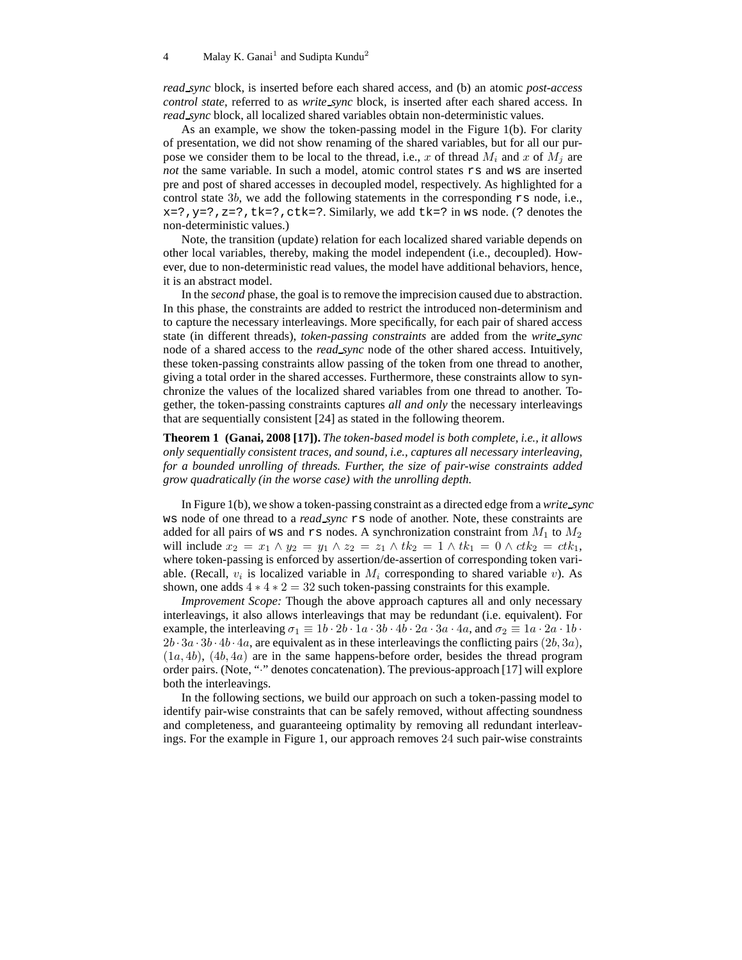*read sync* block, is inserted before each shared access, and (b) an atomic *post-access control state*, referred to as *write sync* block, is inserted after each shared access. In *read sync* block, all localized shared variables obtain non-deterministic values.

As an example, we show the token-passing model in the Figure 1(b). For clarity of presentation, we did not show renaming of the shared variables, but for all our purpose we consider them to be local to the thread, i.e., x of thread  $M_i$  and x of  $M_j$  are *not* the same variable. In such a model, atomic control states rs and ws are inserted pre and post of shared accesses in decoupled model, respectively. As highlighted for a control state  $3b$ , we add the following statements in the corresponding  $rs$  node, i.e.,  $x=?$ ,  $y=?$ ,  $z=?$ ,  $tk=?$ ,  $ctk=?$ . Similarly, we add  $tk=?$  in ws node. (? denotes the non-deterministic values.)

Note, the transition (update) relation for each localized shared variable depends on other local variables, thereby, making the model independent (i.e., decoupled). However, due to non-deterministic read values, the model have additional behaviors, hence, it is an abstract model.

In the *second* phase, the goal is to remove the imprecision caused due to abstraction. In this phase, the constraints are added to restrict the introduced non-determinism and to capture the necessary interleavings. More specifically, for each pair of shared access state (in different threads), *token-passing constraints* are added from the *write sync* node of a shared access to the *read sync* node of the other shared access. Intuitively, these token-passing constraints allow passing of the token from one thread to another, giving a total order in the shared accesses. Furthermore, these constraints allow to synchronize the values of the localized shared variables from one thread to another. Together, the token-passing constraints captures *all and only* the necessary interleavings that are sequentially consistent [24] as stated in the following theorem.

**Theorem 1 (Ganai, 2008 [17]).** *The token-based model is both complete, i.e., it allows only sequentially consistent traces, and sound, i.e., captures all necessary interleaving, for a bounded unrolling of threads. Further, the size of pair-wise constraints added grow quadratically (in the worse case) with the unrolling depth.*

In Figure 1(b), we show a token-passing constraint as a directed edge from a *write sync* ws node of one thread to a *read sync* rs node of another. Note, these constraints are added for all pairs of ws and rs nodes. A synchronization constraint from  $M_1$  to  $M_2$ will include  $x_2 = x_1 \wedge y_2 = y_1 \wedge z_2 = z_1 \wedge tk_2 = 1 \wedge tk_1 = 0 \wedge ctk_2 = ctk_1$ , where token-passing is enforced by assertion/de-assertion of corresponding token variable. (Recall,  $v_i$  is localized variable in  $M_i$  corresponding to shared variable v). As shown, one adds  $4 * 4 * 2 = 32$  such token-passing constraints for this example.

*Improvement Scope:* Though the above approach captures all and only necessary interleavings, it also allows interleavings that may be redundant (i.e. equivalent). For example, the interleaving  $\sigma_1 \equiv 1b \cdot 2b \cdot 1a \cdot 3b \cdot 4b \cdot 2a \cdot 3a \cdot 4a$ , and  $\sigma_2 \equiv 1a \cdot 2a \cdot 1b \cdot 2a \cdot 3a \cdot 4b$  $2b \cdot 3a \cdot 3b \cdot 4b \cdot 4a$ , are equivalent as in these interleavings the conflicting pairs  $(2b, 3a)$ ,  $(1a, 4b)$ ,  $(4b, 4a)$  are in the same happens-before order, besides the thread program order pairs. (Note, "·" denotes concatenation). The previous-approach [17] will explore both the interleavings.

In the following sections, we build our approach on such a token-passing model to identify pair-wise constraints that can be safely removed, without affecting soundness and completeness, and guaranteeing optimality by removing all redundant interleavings. For the example in Figure 1, our approach removes 24 such pair-wise constraints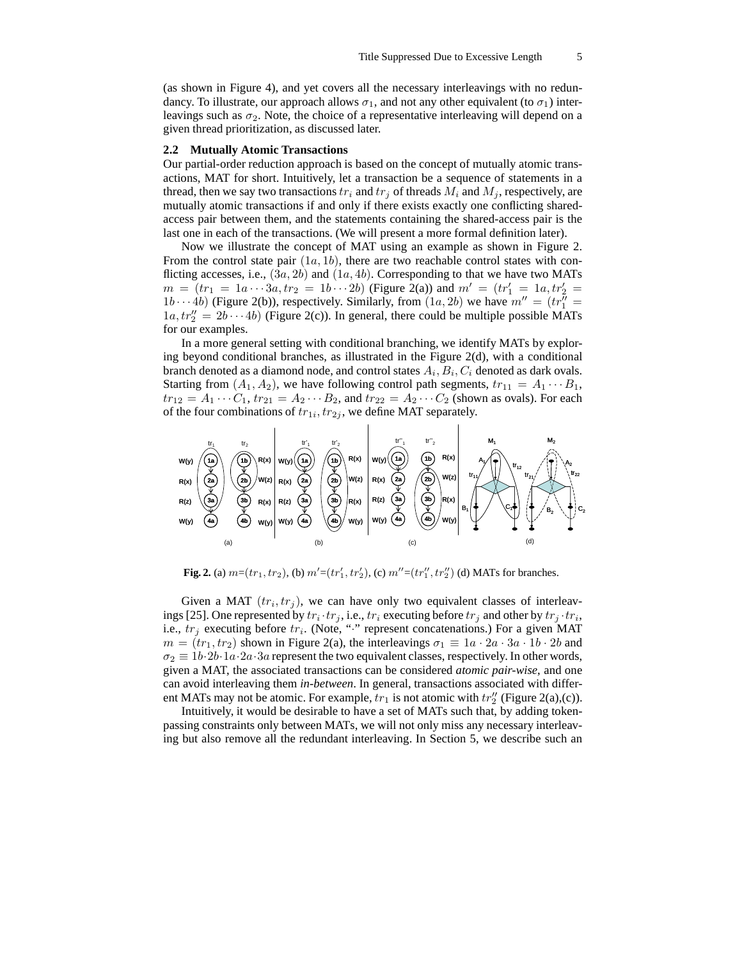(as shown in Figure 4), and yet covers all the necessary interleavings with no redundancy. To illustrate, our approach allows  $\sigma_1$ , and not any other equivalent (to  $\sigma_1$ ) interleavings such as  $\sigma_2$ . Note, the choice of a representative interleaving will depend on a given thread prioritization, as discussed later.

#### **2.2 Mutually Atomic Transactions**

Our partial-order reduction approach is based on the concept of mutually atomic transactions, MAT for short. Intuitively, let a transaction be a sequence of statements in a thread, then we say two transactions  $tr_i$  and  $tr_j$  of threads  $M_i$  and  $M_j$ , respectively, are mutually atomic transactions if and only if there exists exactly one conflicting sharedaccess pair between them, and the statements containing the shared-access pair is the last one in each of the transactions. (We will present a more formal definition later).

Now we illustrate the concept of MAT using an example as shown in Figure 2. From the control state pair  $(1a, 1b)$ , there are two reachable control states with conflicting accesses, i.e.,  $(3a, 2b)$  and  $(1a, 4b)$ . Corresponding to that we have two MATs  $m = (tr_1 = 1a \cdots 3a, tr_2 = 1b \cdots 2b)$  (Figure 2(a)) and  $m' = (tr'_1 = 1a, tr'_2 = 1a)$  $1b \cdots 4b$ ) (Figure 2(b)), respectively. Similarly, from  $(1a, 2b)$  we have  $m'' = (tr_1^{\overline{\prime\prime}}$  $1a, tr''_2 = 2b \cdots 4b$ ) (Figure 2(c)). In general, there could be multiple possible MATs for our examples.

In a more general setting with conditional branching, we identify MATs by exploring beyond conditional branches, as illustrated in the Figure 2(d), with a conditional branch denoted as a diamond node, and control states  $A_i, B_i, C_i$  denoted as dark ovals. Starting from  $(A_1, A_2)$ , we have following control path segments,  $tr_{11} = A_1 \cdots B_1$ ,  $tr_{12} = A_1 \cdots C_1$ ,  $tr_{21} = A_2 \cdots B_2$ , and  $tr_{22} = A_2 \cdots C_2$  (shown as ovals). For each of the four combinations of  $tr_{1i}$ ,  $tr_{2j}$ , we define MAT separately.



**Fig. 2.** (a)  $m=(tr_1, tr_2)$ , (b)  $m'=(tr'_1, tr'_2)$ , (c)  $m''=(tr''_1, tr''_2)$  (d) MATs for branches.

Given a MAT  $(tr_i, tr_j)$ , we can have only two equivalent classes of interleavings [25]. One represented by  $tr_i \cdot tr_j$ , i.e.,  $tr_i$  executing before  $tr_j$  and other by  $tr_j \cdot tr_i$ , i.e.,  $tr_j$  executing before  $tr_i$ . (Note, ":" represent concatenations.) For a given MAT  $m = (tr_1, tr_2)$  shown in Figure 2(a), the interleavings  $\sigma_1 \equiv 1a \cdot 2a \cdot 3a \cdot 1b \cdot 2b$  and  $\sigma_2 \equiv 1b \cdot 2b \cdot 1a \cdot 2a \cdot 3a$  represent the two equivalent classes, respectively. In other words, given a MAT, the associated transactions can be considered *atomic pair-wise*, and one can avoid interleaving them *in-between*. In general, transactions associated with different MATs may not be atomic. For example,  $tr_1$  is not atomic with  $tr''_2$  (Figure 2(a),(c)).

Intuitively, it would be desirable to have a set of MATs such that, by adding tokenpassing constraints only between MATs, we will not only miss any necessary interleaving but also remove all the redundant interleaving. In Section 5, we describe such an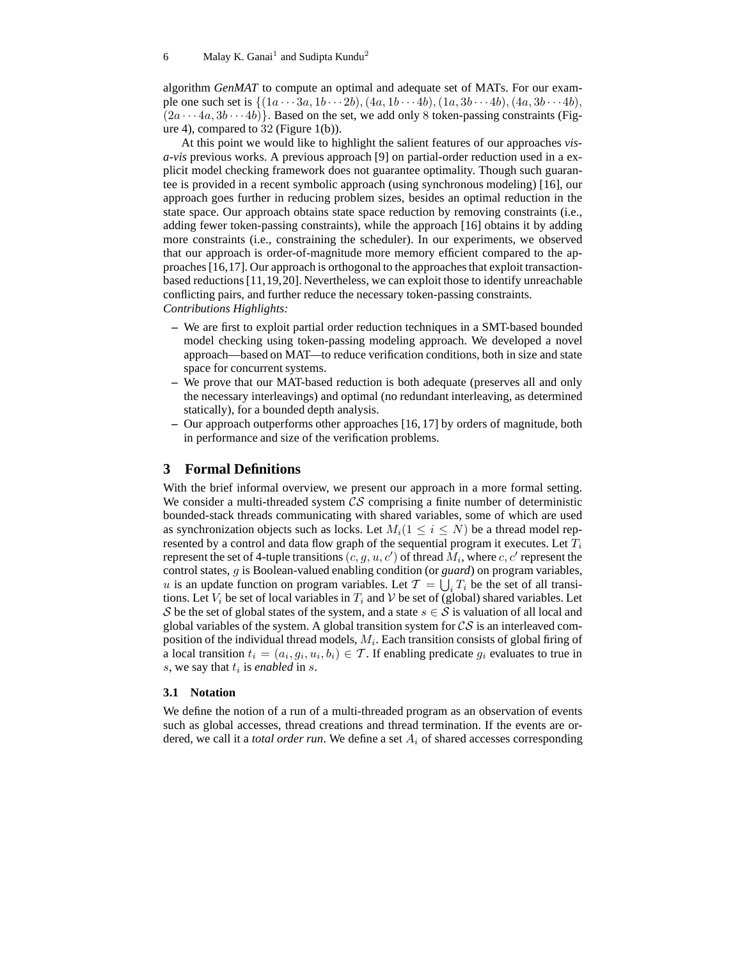algorithm *GenMAT* to compute an optimal and adequate set of MATs. For our example one such set is  $\{(1a \cdots 3a, 1b \cdots 2b), (4a, 1b \cdots 4b), (1a, 3b \cdots 4b), (4a, 3b \cdots 4b)\}$  $(2a \cdots 4a, 3b \cdots 4b)$ . Based on the set, we add only 8 token-passing constraints (Figure 4), compared to 32 (Figure 1(b)).

At this point we would like to highlight the salient features of our approaches *visa-vis* previous works. A previous approach [9] on partial-order reduction used in a explicit model checking framework does not guarantee optimality. Though such guarantee is provided in a recent symbolic approach (using synchronous modeling) [16], our approach goes further in reducing problem sizes, besides an optimal reduction in the state space. Our approach obtains state space reduction by removing constraints (i.e., adding fewer token-passing constraints), while the approach [16] obtains it by adding more constraints (i.e., constraining the scheduler). In our experiments, we observed that our approach is order-of-magnitude more memory efficient compared to the approaches [16,17]. Our approach is orthogonal to the approaches that exploit transactionbased reductions [11,19,20]. Nevertheless, we can exploit those to identify unreachable conflicting pairs, and further reduce the necessary token-passing constraints. *Contributions Highlights:*

- **–** We are first to exploit partial order reduction techniques in a SMT-based bounded model checking using token-passing modeling approach. We developed a novel approach—based on MAT—to reduce verification conditions, both in size and state space for concurrent systems.
- **–** We prove that our MAT-based reduction is both adequate (preserves all and only the necessary interleavings) and optimal (no redundant interleaving, as determined statically), for a bounded depth analysis.
- **–** Our approach outperforms other approaches [16, 17] by orders of magnitude, both in performance and size of the verification problems.

## **3 Formal Definitions**

With the brief informal overview, we present our approach in a more formal setting. We consider a multi-threaded system  $\mathcal{CS}$  comprising a finite number of deterministic bounded-stack threads communicating with shared variables, some of which are used as synchronization objects such as locks. Let  $M_i(1 \leq i \leq N)$  be a thread model represented by a control and data flow graph of the sequential program it executes. Let  $T_i$ represent the set of 4-tuple transitions  $(c, g, u, c')$  of thread  $\tilde{M}_i$ , where  $c, c'$  represent the control states, g is Boolean-valued enabling condition (or *guard*) on program variables, u is an update function on program variables. Let  $\mathcal{T} = \bigcup_i T_i$  be the set of all transitions. Let  $V_i$  be set of local variables in  $T_i$  and V be set of (global) shared variables. Let S be the set of global states of the system, and a state  $s \in S$  is valuation of all local and global variables of the system. A global transition system for  $\mathcal{CS}$  is an interleaved composition of the individual thread models,  $M_i$ . Each transition consists of global firing of a local transition  $t_i = (a_i, g_i, u_i, b_i) \in \mathcal{T}$ . If enabling predicate  $g_i$  evaluates to true in  $s$ , we say that  $t_i$  is *enabled* in  $s$ .

#### **3.1 Notation**

We define the notion of a run of a multi-threaded program as an observation of events such as global accesses, thread creations and thread termination. If the events are ordered, we call it a *total order run*. We define a set  $A_i$  of shared accesses corresponding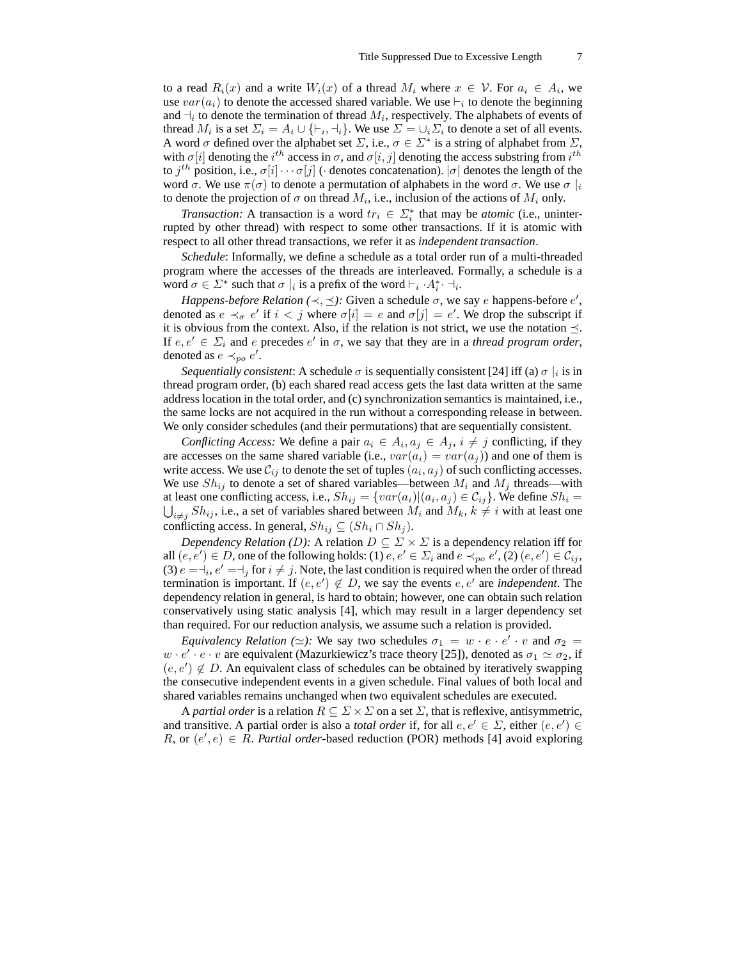to a read  $R_i(x)$  and a write  $W_i(x)$  of a thread  $M_i$  where  $x \in \mathcal{V}$ . For  $a_i \in A_i$ , we use  $var(a_i)$  to denote the accessed shared variable. We use  $\vdash_i$  to denote the beginning and  $\neg_i$  to denote the termination of thread  $M_i$ , respectively. The alphabets of events of thread  $M_i$  is a set  $\Sigma_i = A_i \cup \{\vdash_i, \dashv_i\}$ . We use  $\Sigma = \cup_i \Sigma_i$  to denote a set of all events. A word  $\sigma$  defined over the alphabet set  $\Sigma$ , i.e.,  $\sigma \in \Sigma^*$  is a string of alphabet from  $\Sigma$ , with  $\sigma[i]$  denoting the  $i^{th}$  access in  $\sigma$ , and  $\sigma[i, j]$  denoting the access substring from  $i^{th}$ to  $j^{th}$  position, i.e.,  $\sigma[i] \cdots \sigma[j]$  ( $\cdot$  denotes concatenation).  $|\sigma|$  denotes the length of the word  $\sigma$ . We use  $\pi(\sigma)$  to denote a permutation of alphabets in the word  $\sigma$ . We use  $\sigma|_i$ to denote the projection of  $\sigma$  on thread  $M_i$ , i.e., inclusion of the actions of  $M_i$  only.

*Transaction:* A transaction is a word  $tr_i \in \Sigma_i^*$  that may be *atomic* (i.e., uninterrupted by other thread) with respect to some other transactions. If it is atomic with respect to all other thread transactions, we refer it as *independent transaction*.

*Schedule*: Informally, we define a schedule as a total order run of a multi-threaded program where the accesses of the threads are interleaved. Formally, a schedule is a word  $\sigma \in \Sigma^*$  such that  $\sigma |_i$  is a prefix of the word  $\vdash_i \cdot A_i^* \cdot \vdash_i$ .

*Happens-before Relation* ( $\prec$ ,  $\preceq$ ): Given a schedule  $\sigma$ , we say e happens-before  $e'$ , denoted as  $e \prec_{\sigma} e'$  if  $i < j$  where  $\sigma[i] = e$  and  $\sigma[j] = e'$ . We drop the subscript if it is obvious from the context. Also, if the relation is not strict, we use the notation  $\preceq$ . If  $e, e' \in \Sigma_i$  and e precedes  $e'$  in  $\sigma$ , we say that they are in a *thread program order*, denoted as  $e \prec_{po} e'$ .

*Sequentially consistent*: A schedule  $\sigma$  is sequentially consistent [24] iff (a)  $\sigma$   $\vert_i$  is in thread program order, (b) each shared read access gets the last data written at the same address location in the total order, and (c) synchronization semantics is maintained, i.e., the same locks are not acquired in the run without a corresponding release in between. We only consider schedules (and their permutations) that are sequentially consistent.

*Conflicting Access:* We define a pair  $a_i \in A_i, a_j \in A_j, i \neq j$  conflicting, if they are accesses on the same shared variable (i.e.,  $var(a_i) = var(a_i)$ ) and one of them is write access. We use  $\mathcal{C}_{ij}$  to denote the set of tuples  $(a_i, a_j)$  of such conflicting accesses. We use  $Sh_{ij}$  to denote a set of shared variables—between  $M_i$  and  $M_j$  threads—with at least one conflicting access, i.e.,  $Sh_{ij} = \{ var(a_i) | (a_i, a_j) \in C_{ij} \}$ . We define  $Sh_i =$  $\bigcup_{i \neq j} Sh_{ij}$ , i.e., a set of variables shared between  $M_i$  and  $M_k$ ,  $k \neq i$  with at least one conflicting access. In general,  $Sh_{ij} \subseteq (Sh_i \cap Sh_j)$ .

*Dependency Relation (D):* A relation  $D \subseteq \Sigma \times \Sigma$  is a dependency relation iff for all  $(e, e') \in D$ , one of the following holds: (1)  $e, e' \in \Sigma_i$  and  $e \prec_{po} e', (2)$   $(e, e') \in C_{ij}$ , (3)  $e = \exists_i, e' = \exists_j$  for  $i \neq j$ . Note, the last condition is required when the order of thread termination is important. If  $(e, e') \notin D$ , we say the events  $e, e'$  are *independent*. The dependency relation in general, is hard to obtain; however, one can obtain such relation conservatively using static analysis [4], which may result in a larger dependency set than required. For our reduction analysis, we assume such a relation is provided.

*Equivalency Relation* ( $\simeq$ ): We say two schedules  $\sigma_1 = w \cdot e \cdot e' \cdot v$  and  $\sigma_2 =$  $w \cdot e' \cdot e \cdot v$  are equivalent (Mazurkiewicz's trace theory [25]), denoted as  $\sigma_1 \simeq \sigma_2$ , if  $(e, e') \notin D$ . An equivalent class of schedules can be obtained by iteratively swapping the consecutive independent events in a given schedule. Final values of both local and shared variables remains unchanged when two equivalent schedules are executed.

A *partial order* is a relation  $R \subseteq \Sigma \times \Sigma$  on a set  $\Sigma$ , that is reflexive, antisymmetric, and transitive. A partial order is also a *total order* if, for all  $e, e' \in \Sigma$ , either  $(e, e') \in$  $R$ , or  $(e', e) \in R$ . *Partial order*-based reduction (POR) methods [4] avoid exploring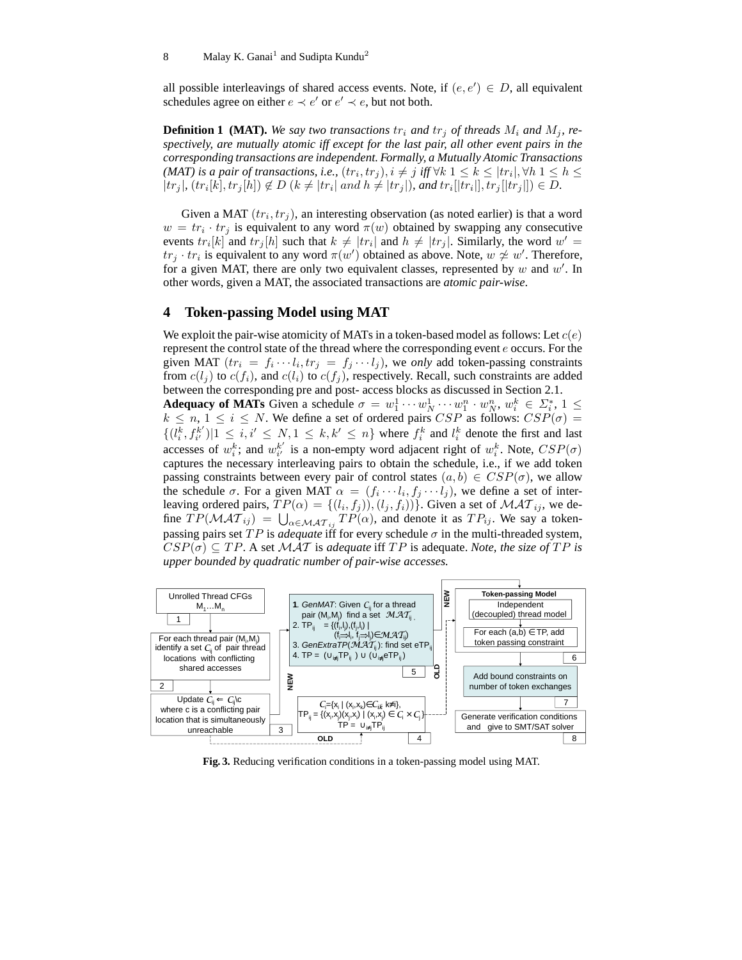all possible interleavings of shared access events. Note, if  $(e, e') \in D$ , all equivalent schedules agree on either  $e \prec e'$  or  $e' \prec e$ , but not both.

**Definition 1 (MAT).** We say two transactions  $tr_i$  and  $tr_j$  of threads  $M_i$  and  $M_j$ , re*spectively, are mutually atomic iff except for the last pair, all other event pairs in the corresponding transactions are independent. Formally, a Mutually Atomic Transactions (MAT) is a pair of transactions, i.e.,*  $(tr_i, tr_j), i \neq j$  *iff*  $\forall k$   $1 \leq k \leq |tr_i|, \forall h$   $1 \leq h \leq j$  $|tr_j|, (tr_i[k], tr_j[h]) \notin D \ (k \neq |tr_i| \ and \ h \neq |tr_j|), \ and \ tr_i[|tr_i|], \ tr_j[|tr_j|] ) \in D.$ 

Given a MAT  $(tr_i, tr_j)$ , an interesting observation (as noted earlier) is that a word  $w = tr_i \cdot tr_j$  is equivalent to any word  $\pi(w)$  obtained by swapping any consecutive events  $tr_i[k]$  and  $tr_j[h]$  such that  $k \neq |tr_i|$  and  $h \neq |tr_j|$ . Similarly, the word  $w' =$  $tr_j \cdot tr_i$  is equivalent to any word  $\pi(w')$  obtained as above. Note,  $w \not\simeq w'$ . Therefore, for a given MAT, there are only two equivalent classes, represented by  $w$  and  $w'$ . In other words, given a MAT, the associated transactions are *atomic pair-wise*.

# **4 Token-passing Model using MAT**

We exploit the pair-wise atomicity of MATs in a token-based model as follows: Let  $c(e)$ represent the control state of the thread where the corresponding event e occurs. For the given MAT  $(tr_i = f_i \cdots l_i, tr_j = f_j \cdots l_j)$ , we *only* add token-passing constraints from  $c(l_i)$  to  $c(f_i)$ , and  $c(l_i)$  to  $c(f_j)$ , respectively. Recall, such constraints are added between the corresponding pre and post- access blocks as discussed in Section 2.1.

**Adequacy of MATs** Given a schedule  $\sigma = w_1^1 \cdots w_N^1 \cdots w_1^n \cdot w_N^n$ ,  $w_i^k \in \Sigma_i^*$ ,  $1 \leq$  $k \leq n, 1 \leq i \leq N$ . We define a set of ordered pairs  $CSP$  as follows:  $CSP(\sigma) =$  $\{\overline{(l_i^k,f_{i'}^{k'}}$  $\sum_{i=1}^{k'}$   $|1 \leq i, i' \leq N, 1 \leq k, k' \leq n$  where  $f_i^k$  and  $l_i^k$  denote the first and last accesses of  $w_i^k$ ; and  $w_{i'}^{k'}$  $k_i^{\prime}$  is a non-empty word adjacent right of  $w_i^k$ . Note,  $CSP(\sigma)$ captures the necessary interleaving pairs to obtain the schedule, i.e., if we add token passing constraints between every pair of control states  $(a, b) \in CSP(\sigma)$ , we allow the schedule  $\sigma$ . For a given MAT  $\alpha = (f_i \cdots l_i, f_j \cdots l_j)$ , we define a set of interleaving ordered pairs,  $TP(\alpha) = \{(l_i, f_j), (l_j, f_i))\}$ . Given a set of  $\mathcal{MAT}_{ij}$ , we define  $TP(\mathcal{MAT}_{ij}) = \bigcup_{\alpha \in \mathcal{MAT}_{ij}} TP(\alpha)$ , and denote it as  $TP_{ij}$ . We say a tokenpassing pairs set  $TP$  is *adequate* iff for every schedule  $\sigma$  in the multi-threaded system,  $CSP(\sigma) \subseteq TP$ . A set  $\mathcal{MAT}$  is *adequate* iff  $TP$  is adequate. *Note, the size of*  $TP$  *is upper bounded by quadratic number of pair-wise accesses.*



**Fig. 3.** Reducing verification conditions in a token-passing model using MAT.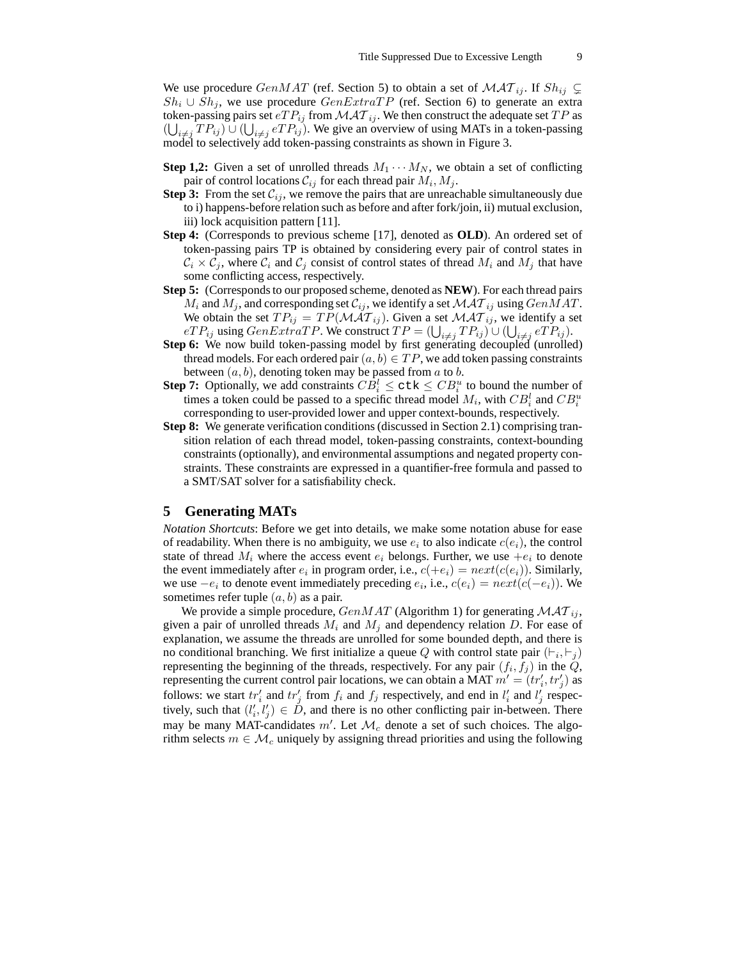We use procedure  $GenMAT$  (ref. Section 5) to obtain a set of  $MAT_{ij}$ . If  $Sh_{ij} \subset$  $Sh_i \cup Sh_i$ , we use procedure  $GenExtractTP$  (ref. Section 6) to generate an extra token-passing pairs set  $eTP_{ij}$  from  $\mathcal{MAT}_{ij}$ . We then construct the adequate set  $TP$  as  $(\bigcup_{i \neq j} TP_{ij}) \cup (\bigcup_{i \neq j} eTP_{ij})$ . We give an overview of using MATs in a token-passing model to selectively add token-passing constraints as shown in Figure 3.

- **Step 1,2:** Given a set of unrolled threads  $M_1 \cdots M_N$ , we obtain a set of conflicting pair of control locations  $\mathcal{C}_{ij}$  for each thread pair  $M_i, M_j.$
- **Step 3:** From the set  $\mathcal{C}_{ij}$ , we remove the pairs that are unreachable simultaneously due to i) happens-before relation such as before and after fork/join, ii) mutual exclusion, iii) lock acquisition pattern [11].
- **Step 4:** (Corresponds to previous scheme [17], denoted as **OLD**). An ordered set of token-passing pairs TP is obtained by considering every pair of control states in  $C_i \times C_j$ , where  $C_i$  and  $C_j$  consist of control states of thread  $M_i$  and  $M_j$  that have some conflicting access, respectively.
- **Step 5:** (Corresponds to our proposed scheme, denoted as **NEW**). For each thread pairs  $M_i$  and  $M_j$ , and corresponding set  $\mathcal{C}_{ij}$ , we identify a set  $\mathcal{MAT}_{ij}$  using  $GenMAT$ . We obtain the set  $TP_{ij} = TP(\mathcal{MAT}_{ij})$ . Given a set  $\mathcal{MAT}_{ij}$ , we identify a set  $eTP_{ij}$  using  $GenExtractP$ . We construct  $TP = (\bigcup_{i \neq j} TP_{ij}) \cup (\bigcup_{i \neq j} eTP_{ij}).$
- **Step 6:** We now build token-passing model by first generating decoupled (unrolled) thread models. For each ordered pair  $(a, b) \in TP$ , we add token passing constraints between  $(a, b)$ , denoting token may be passed from a to b.
- **Step 7:** Optionally, we add constraints  $C \dot{B}_i^l \leq \texttt{ctk} \leq C B_i^u$  to bound the number of times a token could be passed to a specific thread model  $M_i$ , with  $CB_i^l$  and  $CB_i^u$ corresponding to user-provided lower and upper context-bounds, respectively.
- **Step 8:** We generate verification conditions (discussed in Section 2.1) comprising transition relation of each thread model, token-passing constraints, context-bounding constraints (optionally), and environmental assumptions and negated property constraints. These constraints are expressed in a quantifier-free formula and passed to a SMT/SAT solver for a satisfiability check.

## **5 Generating MATs**

*Notation Shortcuts*: Before we get into details, we make some notation abuse for ease of readability. When there is no ambiguity, we use  $e_i$  to also indicate  $c(e_i)$ , the control state of thread  $M_i$  where the access event  $e_i$  belongs. Further, we use  $+e_i$  to denote the event immediately after  $e_i$  in program order, i.e.,  $c(+e_i) = next(c(e_i))$ . Similarly, we use  $-e_i$  to denote event immediately preceding  $e_i$ , i.e.,  $c(e_i) = next(c(-e_i))$ . We sometimes refer tuple  $(a, b)$  as a pair.

We provide a simple procedure,  $GenMAT$  (Algorithm 1) for generating  $MAT_{ij}$ , given a pair of unrolled threads  $M_i$  and  $M_j$  and dependency relation D. For ease of explanation, we assume the threads are unrolled for some bounded depth, and there is no conditional branching. We first initialize a queue  $Q$  with control state pair  $(\vdash_i, \vdash_j)$ representing the beginning of the threads, respectively. For any pair  $(f_i, f_j)$  in the  $Q$ , representing the current control pair locations, we can obtain a MAT  $m' = (tr'_i, tr'_j)$  as follows: we start  $tr'_i$  and  $tr'_j$  from  $f_i$  and  $f_j$  respectively, and end in  $l'_i$  and  $l'_j$  respectively, such that  $(l'_i, l'_j) \in \tilde{D}$ , and there is no other conflicting pair in-between. There may be many MAT-candidates  $m'$ . Let  $\mathcal{M}_c$  denote a set of such choices. The algorithm selects  $m \in \mathcal{M}_c$  uniquely by assigning thread priorities and using the following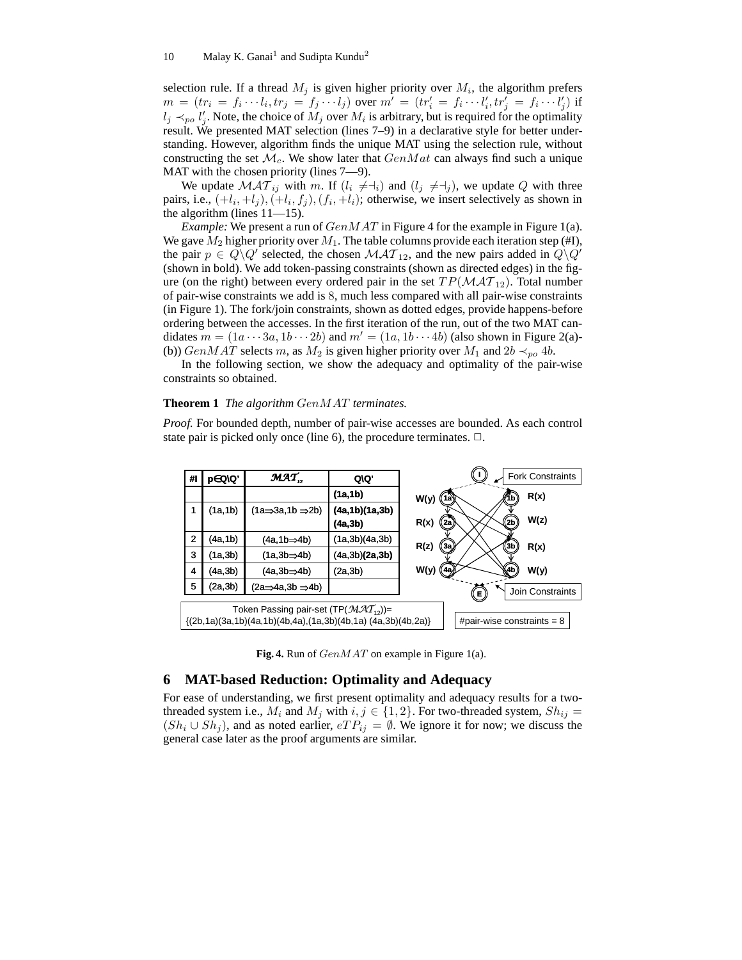selection rule. If a thread  $M_j$  is given higher priority over  $M_i$ , the algorithm prefers  $m \,=\, (tr_i \,=\, f_i \cdots l_i, tr_j \,=\, f_j \cdots l_j)$  over  $m' \,=\, (tr'_i \,=\, f_i \cdots l'_i, tr'_j \,=\, f_i \cdots l'_j)$  if  $l_j \prec_{po} l'_j$ . Note, the choice of  $M_j$  over  $M_i$  is arbitrary, but is required for the optimality result. We presented MAT selection (lines 7–9) in a declarative style for better understanding. However, algorithm finds the unique MAT using the selection rule, without constructing the set  $\mathcal{M}_c$ . We show later that  $GenMat$  can always find such a unique MAT with the chosen priority (lines 7—9).

We update  $\mathcal{MAT}_{ij}$  with m. If  $(l_i \neq \dagger)$  and  $(l_j \neq \dagger)$ , we update Q with three pairs, i.e.,  $(+l_i, +l_j), (+l_i, f_j), (f_i, +l_i)$ ; otherwise, we insert selectively as shown in the algorithm (lines 11—15).

*Example:* We present a run of  $GenMAT$  in Figure 4 for the example in Figure 1(a). We gave  $M_2$  higher priority over  $M_1$ . The table columns provide each iteration step (#I), the pair  $p \in Q \backslash Q'$  selected, the chosen  $\mathcal{MAT}_{12}$ , and the new pairs added in  $Q \backslash Q'$ (shown in bold). We add token-passing constraints (shown as directed edges) in the figure (on the right) between every ordered pair in the set  $TP(\mathcal{MAT}_{12})$ . Total number of pair-wise constraints we add is 8, much less compared with all pair-wise constraints (in Figure 1). The fork/join constraints, shown as dotted edges, provide happens-before ordering between the accesses. In the first iteration of the run, out of the two MAT candidates  $m = (1a \cdots 3a, 1b \cdots 2b)$  and  $m' = (1a, 1b \cdots 4b)$  (also shown in Figure 2(a)-(b)) GenMAT selects m, as  $M_2$  is given higher priority over  $M_1$  and  $2b \prec_{\text{pop}} 4b$ .

In the following section, we show the adequacy and optimality of the pair-wise constraints so obtained.

#### **Theorem 1** *The algorithm* GenMAT *terminates.*

*Proof.* For bounded depth, number of pair-wise accesses are bounded. As each control state pair is picked only once (line 6), the procedure terminates.  $\Box$ .



Fig. 4. Run of  $GenMAT$  on example in Figure 1(a).

#### **6 MAT-based Reduction: Optimality and Adequacy**

For ease of understanding, we first present optimality and adequacy results for a twothreaded system i.e.,  $M_i$  and  $M_j$  with  $i, j \in \{1, 2\}$ . For two-threaded system,  $Sh_{ij}$  =  $(Sh_i \cup Sh_j)$ , and as noted earlier,  $eTP_{ij} = \emptyset$ . We ignore it for now; we discuss the general case later as the proof arguments are similar.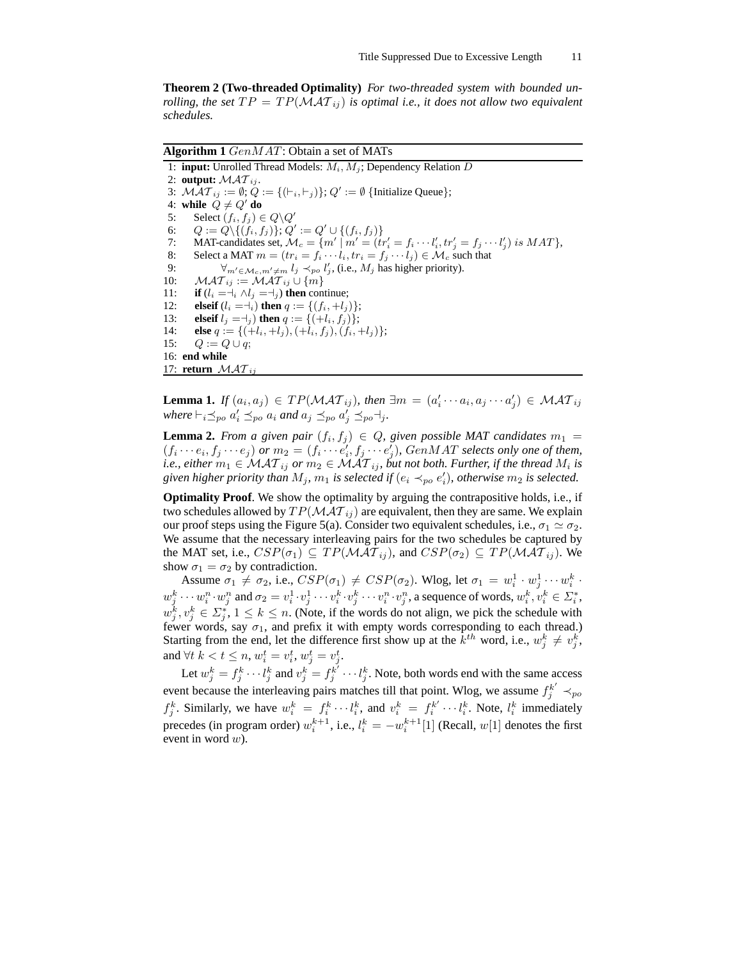**Theorem 2 (Two-threaded Optimality)** *For two-threaded system with bounded unrolling, the set*  $TP = TP(\mathcal{MAT}_{ii})$  *is optimal i.e., it does not allow two equivalent schedules.*

Algorithm 1  $GenMAT$ : Obtain a set of MATs

1: **input:** Unrolled Thread Models:  $M_i$ ,  $M_j$ ; Dependency Relation D 2: **output:**  $MAT_{ij}$ . 3:  $\mathcal{MAT}_{ij} := \emptyset; Q := \{(\vdash_i, \vdash_j)\}; Q' := \emptyset$  {Initialize Queue}; 4: while  $Q \neq Q'$  do 5: Select  $(f_i, f_j) \in Q \backslash Q'$ 6:  $Q := Q \setminus \{(f_i, f_j)\}; Q' := Q' \cup \{(f_i, f_j)\}$ 7: MAT-candidates set,  $\mathcal{M}_c = \{m' \mid m' = (tr'_i = f_i \cdots l'_i, tr'_j = f_j \cdots l'_j) \text{ is } MAT\},\$ 8: Select a MAT  $m = (tr_i = f_i \cdots l_i, tr_i = f_j \cdots l_j) \in \mathcal{M}_c$  such that 9:  $\forall_{m' \in \mathcal{M}_c, m' \neq m} l_j \prec_{po} l'_j$ , (i.e.,  $M_j$  has higher priority). 10:  $\mathcal{MAT}_{ij} := \mathcal{MAT}_{ij} \cup \{m\}$ 11: **if**  $(l_i = \dot{=}_i \land l_j = \dot{=}_j)$  **then** continue; 12: **elseif**  $(l_i = \dashv_i)$  **then**  $q := \{(f_i, \dashv l_j)\};$ 13: **elseif**  $l_j = \{ (\pm l_i, f_j) \};$ 14: **else**  $q := \{ (+l_i, +l_j), (+l_i, f_j), (f_i, +l_j) \};$ 15:  $Q := Q \cup q;$ 16: **end while** 17: **return** MAT

**Lemma 1.** *If*  $(a_i, a_j) \in TP(\mathcal{MAT}_{ij})$ *, then*  $\exists m = (a'_i \cdots a_i, a_j \cdots a'_j) \in \mathcal{MAT}_{ij}$ where  $\vdash_i \preceq_{po} a'_i \preceq_{po} a_i$  and  $a_j \preceq_{po} a'_j \preceq_{po} \exists_j$ .

**Lemma 2.** *From a given pair*  $(f_i, f_j) \in Q$ , given possible MAT candidates  $m_1 =$  $(f_i \cdots e_i, f_j \cdots e_j)$  or  $m_2 = (f_i \cdots e'_i, f_j \cdots e'_j)$ ,  $GenMAT$  selects only one of them, i.e., either  $m_1 \in {\mathcal{MAT}}_{ij}$  or  $m_2 \in {\mathcal{MAT}}_{ij}$ , but not both. Further, if the thread  $M_i$  is given higher priority than  $M_j$ ,  $m_1$  is selected if  $(e_i\prec_{po}e'_i)$ , otherwise  $m_2$  is selected.

**Optimality Proof**. We show the optimality by arguing the contrapositive holds, i.e., if two schedules allowed by  $TP(\mathcal{MAT}_{ij})$  are equivalent, then they are same. We explain our proof steps using the Figure 5(a). Consider two equivalent schedules, i.e.,  $\sigma_1 \simeq \sigma_2$ . We assume that the necessary interleaving pairs for the two schedules be captured by the MAT set, i.e.,  $CSP(\sigma_1) \subseteq TP(\mathcal{MAT}_{ij})$ , and  $CSP(\sigma_2) \subseteq TP(\mathcal{MAT}_{ij})$ . We show  $\sigma_1 = \sigma_2$  by contradiction.

Assume  $\sigma_1 \neq \sigma_2$ , i.e.,  $CSP(\sigma_1) \neq CSP(\sigma_2)$ . Wlog, let  $\sigma_1 = w_i^1 \cdot w_j^1 \cdots w_i^k$ .  $w_j^k\cdots w_i^n\cdot w_j^n$  and  $\sigma_2=v_i^1\cdot v_j^1\cdots v_i^k\cdot v_j^k\cdots v_i^n\cdot v_j^n,$  a sequence of words,  $w_i^k,v_i^k\in \Sigma_i^*,$  $w_j^k, v_j^k \in \Sigma_j^*, 1 \leq k \leq n$ . (Note, if the words do not align, we pick the schedule with fewer words, say  $\sigma_1$ , and prefix it with empty words corresponding to each thread.) Starting from the end, let the difference first show up at the  $k^{th}$  word, i.e.,  $w_j^k \neq v_j^k$ , and  $\forall t \ k < t \leq n, w_i^t = v_i^t, w_j^t = v_j^t$ .

Let  $w_j^k = f_j^k \cdots l_j^k$  and  $v_j^k = f_j^{k'}$  $j^{k'} \cdots l_j^k$ . Note, both words end with the same access event because the interleaving pairs matches till that point. Wlog, we assume  $f_j^{k'} \prec_{po}$  $f_j^k$ . Similarly, we have  $w_i^k = f_i^k \cdots l_i^k$ , and  $v_i^k = f_i^{k'}$  $i_k^{k'} \cdots l_i^k$ . Note,  $l_i^k$  immediately precedes (in program order)  $w_i^{k+1}$ , i.e.,  $l_i^k = -w_i^{k+1}[1]$  (Recall,  $w[1]$  denotes the first event in word  $w$ ).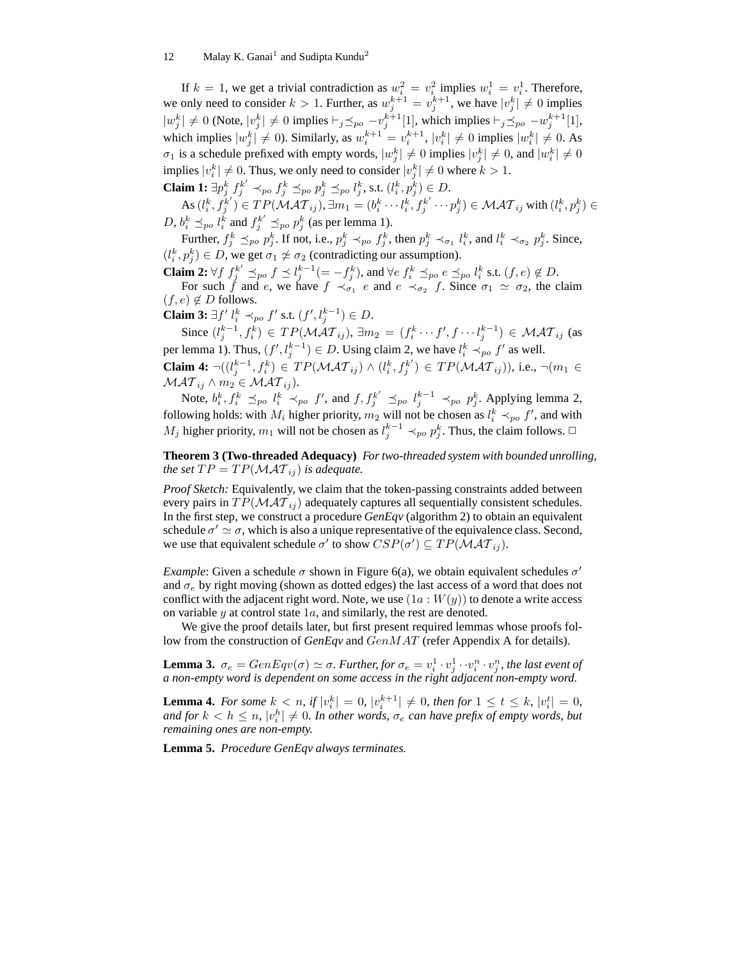If  $k = 1$ , we get a trivial contradiction as  $w_i^2 = v_i^2$  implies  $w_i^1 = v_i^1$ . Therefore, we only need to consider  $k > 1$ . Further, as  $w_j^{k+1} = v_j^{k+1}$ , we have  $|v_j^k| \neq 0$  implies  $|w_j^k| \neq 0$  (Note,  $|v_j^k| \neq 0$  implies  $\vdash_j \preceq_{po} -v_j^{k+1}[1]$ , which implies  $\vdash_j \preceq_{po} -w_j^{k+1}[1]$ , which implies  $|w_j^k| \neq 0$ ). Similarly, as  $w_i^{k+1} = v_i^{k+1}$ ,  $|v_i^k| \neq 0$  implies  $|w_i^k| \neq 0$ . As  $\sigma_1$  is a schedule prefixed with empty words,  $|w_j^k| \neq 0$  implies  $|v_j^k| \neq 0$ , and  $|w_i^k| \neq 0$ implies  $|v_i^k| \neq 0$ . Thus, we only need to consider  $|v_j^k| \neq 0$  where  $k > 1$ .

**Claim 1:**  $\exists p_j^k$   $f_j^{k'} \prec_{po} f_j^k \preceq_{po} p_j^k \preceq_{po} l_j^k$ , s.t.  $(l_i^k, p_j^k) \in D$ .

As  $(l_i^k, f_j^{k^\prime})$  $\overline{f}_j^{(k^\prime)}\in TP(\mathcal{MAT}_{ij}), \exists m_1=(b_i^k\cdots l_i^k,f_j^{k^\prime})$  $\{p_j^{k'}\cdots p_j^{k}\}\in\mathcal{MAT}_{ij}$  with  $(l_i^k,p_j^k)\in\mathcal{N}$ D,  $b_i^k \preceq_{po} l_i^k$  and  $f_j^{k'} \preceq_{po} p_j^k$  (as per lemma 1).

Further,  $f_j^k \preceq_{po} p_j^k$ . If not, i.e.,  $p_j^k \prec_{po} f_j^k$ , then  $p_j^k \prec_{\sigma_1} l_i^k$ , and  $l_i^k \prec_{\sigma_2} p_j^k$ . Since,  $(l_i^k, p_j^k) \in D$ , we get  $\sigma_1 \not\simeq \sigma_2$  (contradicting our assumption).

**Claim 2:**  $\forall f \ f_j^{k'} \preceq_{po} f \preceq l_j^{k-1} (= -f_j^k)$ , and  $\forall e \ f_i^k \preceq_{po} e \preceq_{po} l_i^k$  s.t.  $(f, e) \notin D$ .

For such f and e, we have  $f \prec_{\sigma_1}^{\cdot} e$  and  $e \prec_{\sigma_2}^{\cdot} f$ . Since  $\sigma_1 \simeq \sigma_2$ , the claim  $(f, e) \notin D$  follows.

**Claim 3:** ∃  $f'$   $l_i^k$   $\prec_{po}$   $f'$  s.t.  $(f', l_j^{k-1}) \in D$ .

Since  $(l_j^{k-1}, f_i^k) \in TP(\mathcal{MAT}_{ij}), \exists m_2 = (f_i^k \cdots f', f \cdots l_j^{k-1}) \in \mathcal{MAT}_{ij}$  (as per lemma 1). Thus,  $(f', l_j^{k-1}) \in D$ . Using claim 2, we have  $l_i^k \prec_{po} f'$  as well. **Claim 4:**  $\neg((l_j^{k-1}, f_i^k) \in TP(\mathcal{MAT}_{ij}) \wedge (l_i^k, f_j^{k'})$ 

 $j^{(k')}_j \in TP(\mathcal{MAT}_{ij})),$  i.e.,  $\neg(m_1 \in$  $\mathcal{MAT}_{ij} \wedge m_2 \in \mathcal{MAT}_{ij}$ .

Note,  $b_i^k$ ,  $f_i^k \preceq_{po} l_i^k \preceq_{po} f'$ , and  $f, f_j^{k'} \preceq_{po} l_j^{k-1} \preceq_{po} p_j^k$ . Applying lemma 2, following holds: with  $M_i$  higher priority,  $m_2$  will not be chosen as  $l_i^k \prec_{po} f'$ , and with  $M_j$  higher priority,  $m_1$  will not be chosen as  $l_j^{k-1} \prec_{po} p_j^k$ . Thus, the claim follows.  $\Box$ 

**Theorem 3 (Two-threaded Adequacy)** *For two-threaded system with bounded unrolling, the set*  $TP = TP(\mathcal{MAT}_{ii})$  *is adequate.* 

*Proof Sketch:* Equivalently, we claim that the token-passing constraints added between every pairs in  $TP(\mathcal{MAT}_{ii})$  adequately captures all sequentially consistent schedules. In the first step, we construct a procedure *GenEqv* (algorithm 2) to obtain an equivalent schedule  $\sigma' \simeq \sigma$ , which is also a unique representative of the equivalence class. Second, we use that equivalent schedule  $\sigma'$  to show  $CSP(\sigma') \subseteq TP(\mathcal{MAT}_{ij}).$ 

*Example*: Given a schedule  $\sigma$  shown in Figure 6(a), we obtain equivalent schedules  $\sigma'$ and  $\sigma_e$  by right moving (shown as dotted edges) the last access of a word that does not conflict with the adjacent right word. Note, we use  $(1a: W(y))$  to denote a write access on variable  $y$  at control state 1 $a$ , and similarly, the rest are denoted.

We give the proof details later, but first present required lemmas whose proofs follow from the construction of *GenEqv* and *GenMAT* (refer Appendix A for details).

**Lemma 3.**  $\sigma_e = GenEqv(\sigma) \simeq \sigma$ . Further, for  $\sigma_e = v_i^1 \cdot v_j^1 \cdot v_i^n \cdot v_j^n$ , the last event of *a non-empty word is dependent on some access in the right adjacent non-empty word.*

**Lemma 4.** For some  $k < n$ , if  $|v_i^k| = 0$ ,  $|v_i^{k+1}| \neq 0$ , then for  $1 \leq t \leq k$ ,  $|v_i^t| = 0$ , *and for*  $k < h \le n$ ,  $|v_i^h| \ne 0$ . In other words,  $\sigma_e$  can have prefix of empty words, but *remaining ones are non-empty.*

**Lemma 5.** *Procedure GenEqv always terminates.*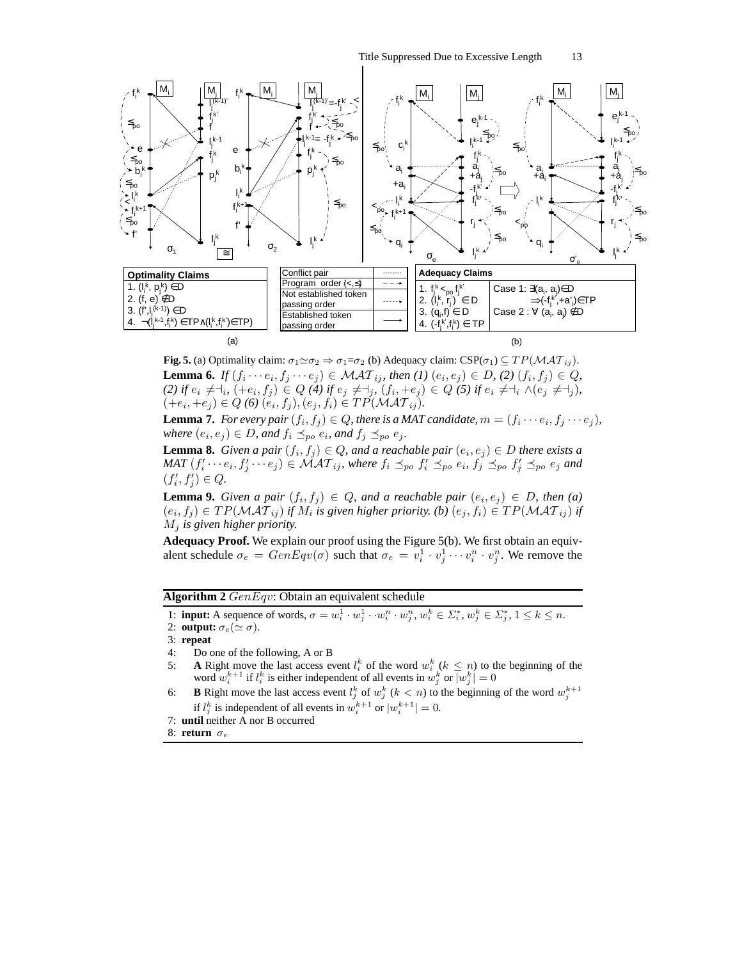

**Fig. 5.** (a) Optimality claim:  $\sigma_1 \simeq \sigma_2 \Rightarrow \sigma_1 = \sigma_2$  (b) Adequacy claim: CSP( $\sigma_1$ )  $\subseteq TP(\mathcal{MAT}_{ij})$ . **Lemma 6.** *If*  $(f_i \cdots e_i, f_j \cdots e_j) \in \mathcal{MAT}_{ij}$ , then (1)  $(e_i, e_j) \in D$ , (2)  $(f_i, f_j) \in Q$ , *(2)* if  $e_i \neq \dashv_i$ ,  $(+e_i, f_j) \in Q$  *(4)* if  $e_j \neq \dashv_j$ ,  $(f_i, +e_j) \in Q$  *(5)* if  $e_i \neq \dashv_i \land (e_j \neq \dashv_j)$ ,  $(+e_i, +e_j) \in Q$  (6)  $(e_i, f_j), (e_j, f_i) \in TP(\mathcal{MAT}_{ij}).$ 

**Lemma 7.** For every pair  $(f_i, f_j) \in Q$ , there is a MAT candidate,  $m = (f_i \cdots e_i, f_j \cdots e_j)$ , where  $(e_i, e_j) \in D$ , and  $f_i \preceq_{po} e_i$ , and  $f_j \preceq_{po} e_j$ .

**Lemma 8.** *Given a pair*  $(f_i, f_j) \in Q$ , and a reachable pair  $(e_i, e_j) \in D$  there exists a  $MAT(f'_i \cdots e_i, f'_j \cdots e_j) \in \tilde{MAT}_{ij}$ , where  $f_i \preceq_{po} f'_i \preceq_{po} e_i$ ,  $f_j \preceq_{po} f'_j \preceq_{po} e_j$  and  $(f'_{i}, f'_{j}) \in Q.$ 

**Lemma 9.** *Given a pair*  $(f_i, f_j) \in Q$ , and a reachable pair  $(e_i, e_j) \in D$ , then (a)  $(e_i,f_j)\in TP(\mathcal{MAT}_{ij})$  if  $M_i$  is given higher priority. (b)  $(e_j,f_i)\in TP(\mathcal{MAT}_{ij})$  if M<sup>j</sup> *is given higher priority.*

**Adequacy Proof.** We explain our proof using the Figure 5(b). We first obtain an equivalent schedule  $\sigma_e = GenEqv(\sigma)$  such that  $\sigma_e = v_i^1 \cdot v_j^1 \cdots v_i^n \cdot v_j^n$ . We remove the

**Algorithm 2** GenEqv: Obtain an equivalent schedule

1: **input:** A sequence of words,  $\sigma = w_i^1 \cdot w_j^1 \cdot w_i^n \cdot w_j^n$ ,  $w_i^k \in \Sigma_i^*$ ,  $w_j^k \in \Sigma_j^*$ ,  $1 \le k \le n$ .

2: **output:**  $\sigma_e(\simeq \sigma)$ .

3: **repeat**

4: Do one of the following, A or B

- 5: **A** Right move the last access event  $l_i^k$  of the word  $w_i^k$  ( $k \leq n$ ) to the beginning of the word  $w_i^{k+1}$  if  $l_i^k$  is either independent of all events in  $w_j^k$  or  $|w_j^k| = 0$
- 6: **B** Right move the last access event  $l_j^k$  of  $w_j^k$  ( $k < n$ ) to the beginning of the word  $w_j^{k+1}$  if  $l_j^k$  is independent of all events in  $w_i^{k+1}$  or  $|w_i^{k+1}| = 0$ .
- 7: **until** neither A nor B occurred

8: **return**  $\sigma_e$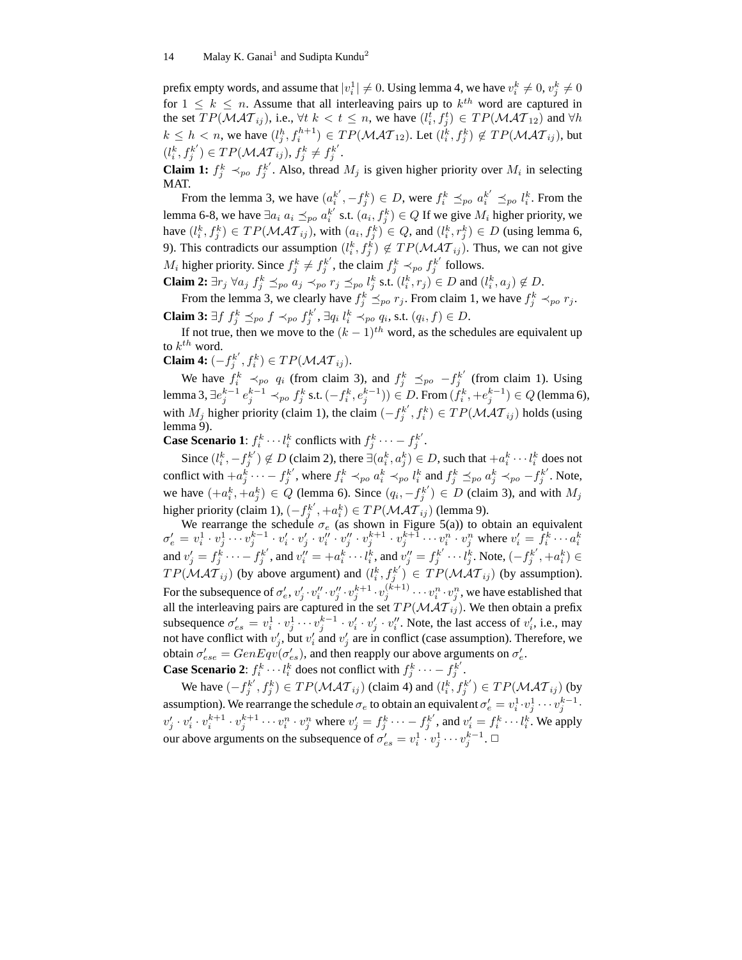prefix empty words, and assume that  $|v_i^1| \neq 0.$  Using lemma 4, we have  $v_i^k \neq 0, v_j^k \neq 0$ for  $1 \leq k \leq n$ . Assume that all interleaving pairs up to  $k^{th}$  word are captured in the set  $TP(\mathcal{MAT}_{ij})$ , i.e.,  $\forall t \ k < t \leq n$ , we have  $(l_i^t, f_j^t) \in TP(\mathcal{MAT}_{12})$  and  $\forall h$  $k \leq h < n$ , we have  $(l_j^h, f_i^{h+1}) \in TP(\mathcal{MAT}_{12})$ . Let  $(l_i^k, f_j^k) \notin TP(\mathcal{MAT}_{ij})$ , but  $(l_i^k, f_j^{k'} )$  $f_j^{k'}) \in TP(\mathcal{MAT}_{ij}), f_j^k \neq f_j^{k'}$  $_{j}^{\prime}$  .

**Claim 1:**  $f_j^k \prec_{po} f_j^{k'}$  $j^{k'}$ . Also, thread  $M_j$  is given higher priority over  $M_i$  in selecting MAT.

From the lemma 3, we have  $(a_i^{k'}\)$  $s_i^{k'}, -f_j^{k} \in D$ , were  $f_i^{k} \preceq_{po} a_i^{k'} \preceq_{po} l_i^{k}$ . From the lemma 6-8, we have  $\exists a_i \ a_i \preceq_{po} a_i^{k'}$  $i^{k'}$  s.t.  $(a_i, f_j^k) \in Q$  If we give  $M_i$  higher priority, we have  $(l_i^k, f_j^k) \in TP(\mathcal{MAT}_{ij})$ , with  $(a_i, f_j^k) \in Q$ , and  $(l_i^k, r_j^k) \in D$  (using lemma 6, 9). This contradicts our assumption  $(l_i^k, f_j^k) \notin TP(\mathcal{MAT}_{ij})$ . Thus, we can not give  $M_i$  higher priority. Since  $f_j^k \neq f_j^{k'}$  $j^k'$ , the claim  $f_j^k \prec_{po} f_j^{k'}$  $j^{k'}$  follows.

**Claim 2:**  $\exists r_j \ \forall a_j \ f_j^k \preceq_{po} a_j \prec_{po} r_j \preceq_{po} l_j^k$  s.t.  $(l_i^k, r_j) \in D$  and  $(l_i^k, a_j) \notin D$ . From the lemma 3, we clearly have  $f_j^k \leq_{po} r_j$ . From claim 1, we have  $f_j^k \prec_{po} r_j$ .

**Claim 3:**  $\exists f \ f_j^k \preceq_{po} f \prec_{po} f_j^{k'}$  $j^{k'}$ ,  $\exists q_i \; l_i^k \prec_{po} q_i$ , s.t.  $(q_i, f) \in D$ .

If not true, then we move to the  $(k-1)$ <sup>th</sup> word, as the schedules are equivalent up to  $k^{th}$  word.

**Claim 4:**  $\left(-f_i^{k'}\right)$  $f_i^{k'}, f_i^{k}) \in TP(\mathcal{MAT}_{ij}).$ 

We have  $f_i^k \prec_{po} q_i$  (from claim 3), and  $f_j^k \preceq_{po} -f_j^{k'}$  $j^{k'}$  (from claim 1). Using lemma 3,  $\exists e_j^{k-1} e_j^{k-1} \prec_{po} f_j^k$  s.t.  $(-f_i^k, e_j^{k-1}) \in D$ . From  $(f_i^k, +e_j^{k-1}) \in Q$  (lemma 6), with  $M_j$  higher priority (claim 1), the claim  $(-f_j^{k'}, f_i^k) \in TP(\mathcal{MAT}_{ij})$  holds (using lemma 9).

**Case Scenario 1**:  $f_i^k \cdots l_i^k$  conflicts with  $f_j^k \cdots - f_j^k$  $_{j}^{\prime k^{\prime}}.$ 

Since  $(l_i^k, -f_j^{k'} )$  $j^{(k')}\not\in D$  (claim 2), there  $\exists (a_i^k,a_j^k)\in D,$  such that  $+a_i^k\cdots l_i^k$  does not conflict with  $+a_j^{\vec{k}} \cdots - f_j^{\vec{k'}}$  $j<sup>k'</sup>$ , where  $f<sup>k</sup>$  ≺<sub>po</sub>  $a<sup>k</sup>$  ≺<sub>po</sub>  $l<sup>k</sup>$  and  $f<sup>k</sup>$  ≾<sub>po</sub>  $a<sup>k</sup>$  ≺<sub>po</sub>  $-f<sup>k'</sup>$  $j^{k'}$ . Note, we have  $(+a_i^k, +a_i^k) \in Q$  (lemma 6). Since  $(q_i, -f_i^{k'}) \in D$  (claim 3), and with  $M_j$  $i, \pm a_j$ )  $\in Q$  (ieining 0). Since  $(q_i, -j_j)$ higher priority (claim 1),  $(-f_i^{k'}\)$  $\{f^{k'}_j, +a^k_i) \in TP(\mathcal{MAT}_{ij})$  (lemma 9).

We rearrange the schedule  $\sigma_e$  (as shown in Figure 5(a)) to obtain an equivalent  $\sigma'_e = v_i^1 \cdot v_j^1 \cdots v_j^{k-1} \cdot v'_i \cdot v'_j \cdot v''_i \cdot v''_j \cdot v_j^{k+1} \cdot v_j^{k+1} \cdots v_i^n \cdot v_j^n$  where  $v'_i = \hat{f}_i^k \cdots a_i^k$ and  $v'_j = f_j^{\vec{k}} \cdots - f_j^{\vec{k}'}$  $y''_j$ , and  $v''_i = +a_i^k \cdots l_i^k$ , and  $v''_j = f_j^{k'}$  $j^{k'} \cdots l_j^k$ . Note,  $(-f_j^{k'} )$  $j^{k'},+a_i^k) \in$  $TP(\mathcal{MAT}_{ij})$  (by above argument) and  $(l_i^k, f_j^{k'})$  $j_j^{(k')} \in TP(\mathcal{MAT}_{ij})$  (by assumption). For the subsequence of  $\sigma'_e$ ,  $v'_j\cdot v''_i\cdot v''_j\cdot v^{k+1}_j\cdot v^{(k+1)}_j\cdots v^n_i\cdot v^n_j$ , we have established that all the interleaving pairs are captured in the set  $TP(\mathcal{MAT}_{ij})$ . We then obtain a prefix subsequence  $\sigma'_{es} = v_i^1 \cdot v_j^1 \cdots v_j^{k-1} \cdot v_i' \cdot v_j' \cdot v_i''$ . Note, the last access of  $v_i'$ , i.e., may not have conflict with  $v'_j$ , but  $v'_i$  and  $v'_j$  are in conflict (case assumption). Therefore, we  $\sum_{i=1}^{\infty}$  out  $v'$  and  $v'$ obtain  $\sigma'_{ese} = GenEqv(\sigma'_{es})$ , and then reapply our above arguments on  $\sigma'_{e}$ . **Case Scenario 2**:  $f_i^k \cdots l_i^k$  does not conflict with  $f_j^k \cdots - f_j^k$  $_{j}^{k^{\prime}}.$ 

We have  $(-f_i^{k'}\)$  $\{f_j^{k'}, f_j^{k}\} \in TP(\mathcal{MAT}_{ij})$  (claim 4) and  $(l_i^k, f_j^{k'})$  $j^{(k')}_j \in TP(\mathcal{MAT}_{ij})$  (by assumption). We rearrange the schedule  $\sigma_e$  to obtain an equivalent  $\sigma'_e = v_i^1 \cdot v_j^1 \cdots v_j^{k-1}$ .  $v'_j \cdot v'_i \cdot v_i^{k+1} \cdot v_j^{k+1} \cdots v_i^n \cdot v_j^n$  where  $v'_j = f_j^k \cdots - f_j^{k'}$  $j'$ , and  $v'_i = f_i^k \cdots l_i^k$ . We apply our above arguments on the subsequence of  $\sigma_{es}^t = v_i^1 \cdot v_j^1 \cdots v_j^{k-1}$ .  $\Box$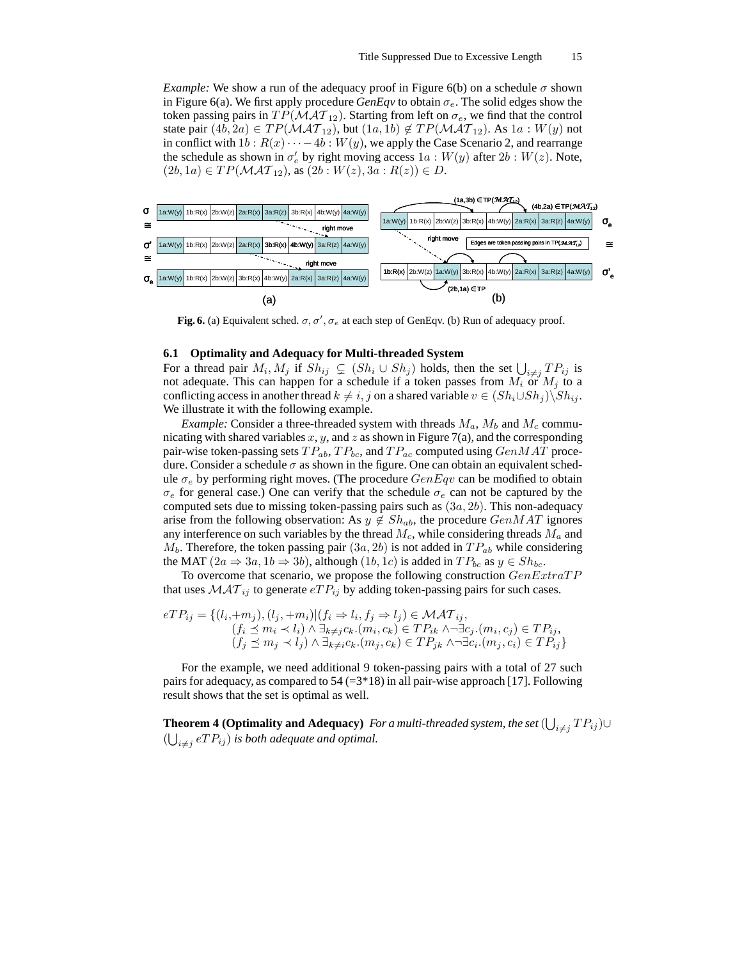*Example:* We show a run of the adequacy proof in Figure 6(b) on a schedule  $\sigma$  shown in Figure 6(a). We first apply procedure  $GenEqv$  to obtain  $\sigma_e$ . The solid edges show the token passing pairs in  $TP(\mathcal{MAT}_{12})$ . Starting from left on  $\sigma_e$ , we find that the control state pair  $(4b, 2a) \in TP(\mathcal{MAT}_12)$ , but  $(1a, 1b) \notin TP(\mathcal{MAT}_12)$ . As  $1a : W(y)$  not in conflict with  $1b : R(x) \cdots - 4b : W(y)$ , we apply the Case Scenario 2, and rearrange the schedule as shown in  $\sigma'_{e}$  by right moving access  $1a: W(y)$  after  $2b: W(z)$ . Note,  $(2b, 1a) \in TP(\mathcal{MAT}_{12}),$  as  $(2b : W(z), 3a : R(z)) \in D.$ 



Fig. 6. (a) Equivalent sched.  $\sigma$ ,  $\sigma'$ ,  $\sigma_e$  at each step of GenEqv. (b) Run of adequacy proof.

#### **6.1 Optimality and Adequacy for Multi-threaded System**

For a thread pair  $M_i, M_j$  if  $Sh_{ij} \subsetneq (Sh_i \cup Sh_j)$  holds, then the set  $\bigcup_{i \neq j} TP_{ij}$  is not adequate. This can happen for a schedule if a token passes from  $M_i$  or  $M_j$  to a conflicting access in another thread  $k \neq i, j$  on a shared variable  $v \in (Sh_i \cup Sh_j) \backslash Sh_i$ . We illustrate it with the following example.

*Example:* Consider a three-threaded system with threads  $M_a$ ,  $M_b$  and  $M_c$  communicating with shared variables  $x, y$ , and  $z$  as shown in Figure 7(a), and the corresponding pair-wise token-passing sets  $TP_{ab}$ ,  $TP_{bc}$ , and  $TP_{ac}$  computed using  $GenMAT$  procedure. Consider a schedule  $\sigma$  as shown in the figure. One can obtain an equivalent schedule  $\sigma_e$  by performing right moves. (The procedure  $GenEqv$  can be modified to obtain  $\sigma_e$  for general case.) One can verify that the schedule  $\sigma_e$  can not be captured by the computed sets due to missing token-passing pairs such as  $(3a, 2b)$ . This non-adequacy arise from the following observation: As  $y \notin Sh_{ab}$ , the procedure  $GenMAT$  ignores any interference on such variables by the thread  $M_c$ , while considering threads  $M_a$  and  $M_b$ . Therefore, the token passing pair  $(3a, 2b)$  is not added in  $TP_{ab}$  while considering the MAT  $(2a \Rightarrow 3a, 1b \Rightarrow 3b)$ , although  $(1b, 1c)$  is added in  $TP_{bc}$  as  $y \in Sh_{bc}$ .

To overcome that scenario, we propose the following construction  $GenExtractP$ that uses  $\mathcal{MAT}_{ij}$  to generate  $eTP_{ij}$  by adding token-passing pairs for such cases.

$$
eTP_{ij} = \{(l_i, +m_j), (l_j, +m_i)| (f_i \Rightarrow l_i, f_j \Rightarrow l_j) \in \mathcal{MAT}_{ij},
$$
  
\n
$$
(f_i \preceq m_i \prec l_i) \land \exists_{k \neq j} c_k.(m_i, c_k) \in TP_{ik} \land \neg \exists c_j.(m_i, c_j) \in TP_{ij},
$$
  
\n
$$
(f_j \preceq m_j \prec l_j) \land \exists_{k \neq i} c_k.(m_j, c_k) \in TP_{jk} \land \neg \exists c_i.(m_j, c_i) \in TP_{ij}\}
$$

For the example, we need additional 9 token-passing pairs with a total of 27 such pairs for adequacy, as compared to  $54$  ( $=3*18$ ) in all pair-wise approach [17]. Following result shows that the set is optimal as well.

**Theorem 4 (Optimality and Adequacy)** For a multi-threaded system, the set  $(\bigcup_{i \neq j} TP_{ij}) \cup$  $(\bigcup_{i \neq j} eTP_{ij})$  is both adequate and optimal.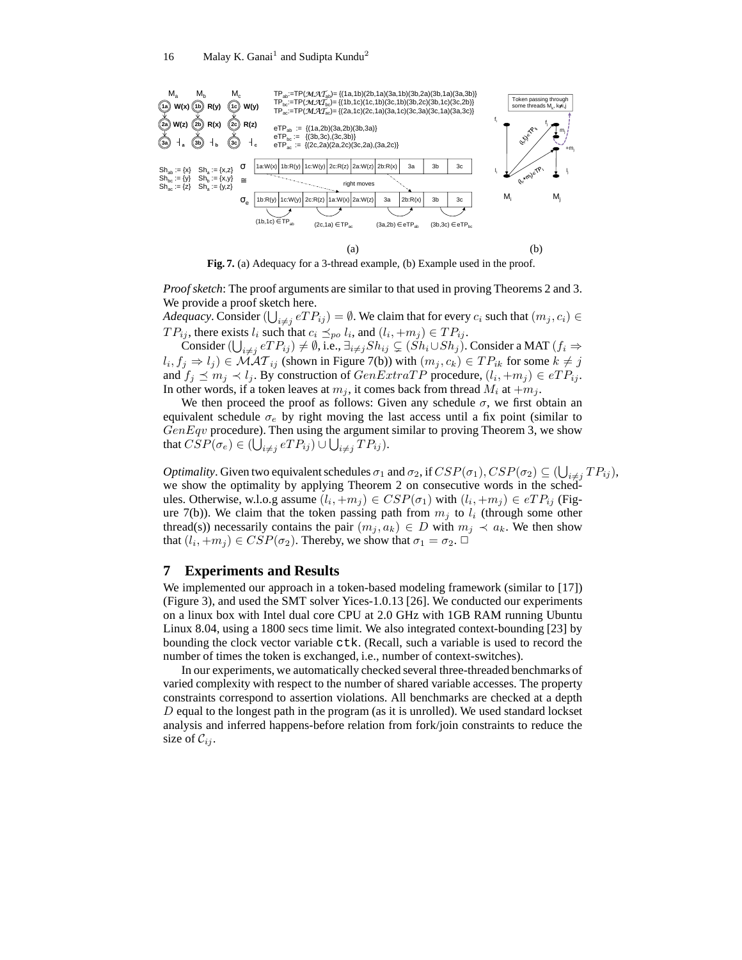

**Fig. 7.** (a) Adequacy for a 3-thread example, (b) Example used in the proof.

*Proof sketch*: The proof arguments are similar to that used in proving Theorems 2 and 3. We provide a proof sketch here.

*Adequacy*. Consider  $(\bigcup_{i \neq j} eTP_{ij}) = \emptyset$ . We claim that for every  $c_i$  such that  $(m_j, c_i) \in$  $TP_{ij}$ , there exists  $l_i$  such that  $c_i \preceq_{po} l_i$ , and  $(l_i, +m_j) \in TP_{ij}$ .

Consider  $(\bigcup_{i\neq j}eTP_{ij})\neq\emptyset$ , i.e.,  $\exists_{i\neq j}Sh_{ij}\subsetneq (Sh_i\cup Sh_j).$  Consider a MAT  $(f_i\Rightarrow$  $(l_i, f_j \Rightarrow l_j) \in \mathcal{MAT}_{ij}$  (shown in Figure 7(b)) with  $(m_j, c_k) \in TP_{ik}$  for some  $k \neq j$ and  $f_j \preceq m_j \prec l_j$ . By construction of  $GenExtraTP$  procedure,  $(l_i, +m_j) \in eTP_{ij}$ . In other words, if a token leaves at  $m_j$ , it comes back from thread  $M_i$  at  $+m_j$ .

We then proceed the proof as follows: Given any schedule  $\sigma$ , we first obtain an equivalent schedule  $\sigma_e$  by right moving the last access until a fix point (similar to  $GenEqv$  procedure). Then using the argument similar to proving Theorem 3, we show that  $CSP(\sigma_e) \in (\bigcup_{i \neq j} eTP_{ij}) \cup \bigcup_{i \neq j} TP_{ij}).$ 

*Optimality*. Given two equivalent schedules  $\sigma_1$  and  $\sigma_2$ , if  $CSP(\sigma_1), CSP(\sigma_2) \subseteq (\bigcup_{i \neq j} TP_{ij}),$ we show the optimality by applying Theorem 2 on consecutive words in the schedules. Otherwise, w.l.o.g assume  $(l_i, +m_j) \in CSP(\sigma_1)$  with  $(l_i, +m_j) \in eTP_{ij}$  (Figure 7(b)). We claim that the token passing path from  $m_j$  to  $l_i$  (through some other thread(s)) necessarily contains the pair  $(m_i, a_k) \in D$  with  $m_i \prec a_k$ . We then show that  $(l_i, +m_j) \in CSP(\sigma_2)$ . Thereby, we show that  $\sigma_1 = \sigma_2$ .

## **7 Experiments and Results**

We implemented our approach in a token-based modeling framework (similar to [17]) (Figure 3), and used the SMT solver Yices-1.0.13 [26]. We conducted our experiments on a linux box with Intel dual core CPU at 2.0 GHz with 1GB RAM running Ubuntu Linux 8.04, using a 1800 secs time limit. We also integrated context-bounding [23] by bounding the clock vector variable ctk. (Recall, such a variable is used to record the number of times the token is exchanged, i.e., number of context-switches).

In our experiments, we automatically checked several three-threaded benchmarks of varied complexity with respect to the number of shared variable accesses. The property constraints correspond to assertion violations. All benchmarks are checked at a depth  $D$  equal to the longest path in the program (as it is unrolled). We used standard lockset analysis and inferred happens-before relation from fork/join constraints to reduce the size of  $\mathcal{C}_{ij}$ .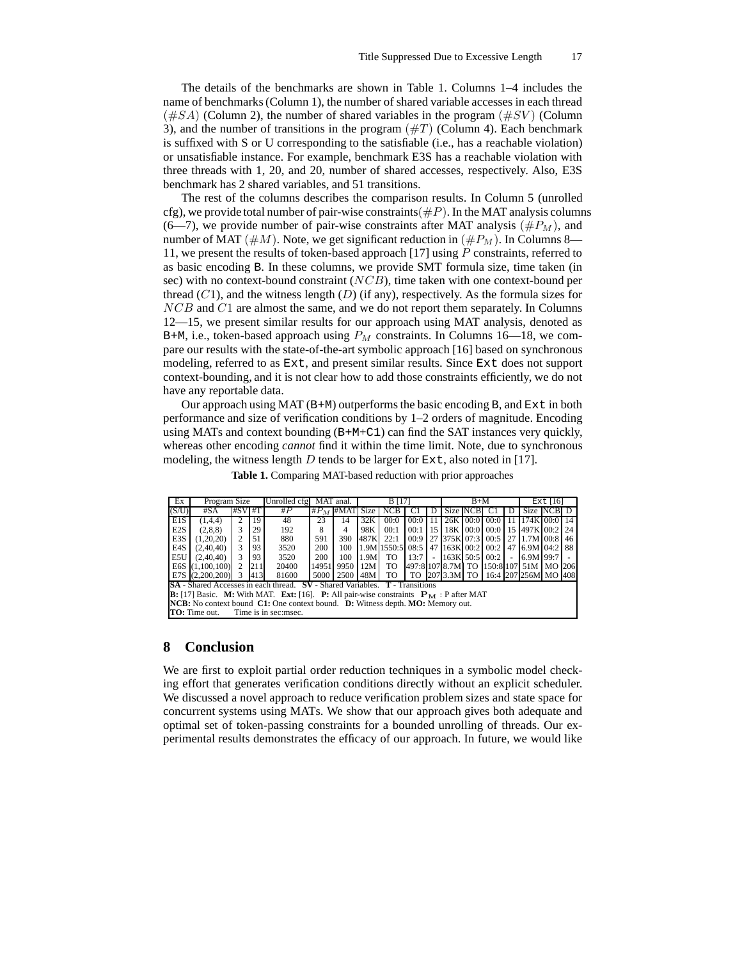The details of the benchmarks are shown in Table 1. Columns 1–4 includes the name of benchmarks (Column 1), the number of shared variable accesses in each thread  $(\#SA)$  (Column 2), the number of shared variables in the program  $(\#SV)$  (Column 3), and the number of transitions in the program  $(\#T)$  (Column 4). Each benchmark is suffixed with S or U corresponding to the satisfiable (i.e., has a reachable violation) or unsatisfiable instance. For example, benchmark E3S has a reachable violation with three threads with 1, 20, and 20, number of shared accesses, respectively. Also, E3S benchmark has 2 shared variables, and 51 transitions.

The rest of the columns describes the comparison results. In Column 5 (unrolled cfg), we provide total number of pair-wise constraints( $\#P$ ). In the MAT analysis columns  $(6-7)$ , we provide number of pair-wise constraints after MAT analysis  $(\#P_M)$ , and number of MAT ( $\#M$ ). Note, we get significant reduction in ( $\#P_M$ ). In Columns 8— 11, we present the results of token-based approach [17] using P constraints, referred to as basic encoding B. In these columns, we provide SMT formula size, time taken (in sec) with no context-bound constraint  $(NCB)$ , time taken with one context-bound per thread  $(C1)$ , and the witness length  $(D)$  (if any), respectively. As the formula sizes for NCB and C1 are almost the same, and we do not report them separately. In Columns 12—15, we present similar results for our approach using MAT analysis, denoted as B+M, i.e., token-based approach using  $P_M$  constraints. In Columns 16—18, we compare our results with the state-of-the-art symbolic approach [16] based on synchronous modeling, referred to as Ext, and present similar results. Since Ext does not support context-bounding, and it is not clear how to add those constraints efficiently, we do not have any reportable data.

Our approach using MAT ( $B+M$ ) outperforms the basic encoding B, and  $E \times t$  in both performance and size of verification conditions by 1–2 orders of magnitude. Encoding using MATs and context bounding (B+M+C1) can find the SAT instances very quickly, whereas other encoding *cannot* find it within the time limit. Note, due to synchronous modeling, the witness length  $D$  tends to be larger for  $Ext$ , also noted in [17].

| Ex               | Program Size                                                                                                        |                |     | Unrolled cfg MAT anal.                                                                                         |       |                                  | <b>B</b> <sub>[17]</sub> |                                                                     |           |        | $B+M$            |        |               |        | Ext [16]                                |                   |  |
|------------------|---------------------------------------------------------------------------------------------------------------------|----------------|-----|----------------------------------------------------------------------------------------------------------------|-------|----------------------------------|--------------------------|---------------------------------------------------------------------|-----------|--------|------------------|--------|---------------|--------|-----------------------------------------|-------------------|--|
| (S/U)            | #SA                                                                                                                 | #SV#T          |     | # $P$                                                                                                          |       | $\sharp P_M \sharp$ MAT Size NCB |                          |                                                                     |           | D      | Size NCB         |        |               | D      |                                         | Size <b>NCB</b> D |  |
| E <sub>1</sub> S | (1,4,4)                                                                                                             |                | 19  | 48                                                                                                             | 23    | 14                               | 32K                      | (00:0)                                                              | (00:0)    |        | 26K              | (00:0) | (00:0)        |        | 174K100:0114                            |                   |  |
| E2S              | (2,8,8)                                                                                                             |                | 29  | 192                                                                                                            | 8     | 4                                | 98K                      | 00:1                                                                | $00:1$ 15 |        |                  |        | 18K 00:0 00:0 |        | 15 497K 00:2 24                         |                   |  |
| E <sub>3</sub> S | (1,20,20)                                                                                                           |                | 51  | 880                                                                                                            | 591   | 390                              | 487K                     | 22:1                                                                |           |        |                  |        |               |        | 00:9 27 375K 07:3 00:5 27 1.7M 00:8 46  |                   |  |
| E4S              | (2,40,40)                                                                                                           |                | 93  | 3520                                                                                                           | 200   | 100                              |                          | 1.9MH 1550:5 08:5   47   163K   00:2   00:2   47   6.9M   04:2   88 |           |        |                  |        |               |        |                                         |                   |  |
| E5U              | (2,40,40)                                                                                                           |                | 93  | 3520                                                                                                           | 200   | 100                              | 1.9M                     | <b>TO</b>                                                           | 13:7      | $\sim$ | $163K$ 50:5 00:2 |        |               | $\sim$ | 6.9M 99:7                               |                   |  |
|                  | E6S $(1,100,100)$                                                                                                   | $\mathfrak{D}$ | 211 | 20400                                                                                                          | 14951 | 9950 12M                         |                          | TO.                                                                 |           |        |                  |        |               |        | 497:810718.7M TO 1150:811071 51M MO 206 |                   |  |
|                  | E7S $(2,200,200)$                                                                                                   | -3             | 413 | 81600                                                                                                          | 5000  | 2500                             | 48M                      | TO.                                                                 |           |        | TO 20713.3M TO   |        |               |        | 16:4 207 256M MO 408                    |                   |  |
|                  | <b>SA</b> - Shared Accesses in each thread. <b>SV</b> - Shared Variables. <b>T</b> - Transitions                    |                |     |                                                                                                                |       |                                  |                          |                                                                     |           |        |                  |        |               |        |                                         |                   |  |
|                  | <b>B:</b> [17] Basic. <b>M:</b> With MAT. <b>Ext:</b> [16]. <b>P:</b> All pair-wise constraints $P_M$ : P after MAT |                |     |                                                                                                                |       |                                  |                          |                                                                     |           |        |                  |        |               |        |                                         |                   |  |
|                  |                                                                                                                     |                |     | <b>NCB</b> : No context bound <b>C1</b> : One context bound. <b>D</b> : Witness depth. <b>MO</b> : Memory out. |       |                                  |                          |                                                                     |           |        |                  |        |               |        |                                         |                   |  |
|                  | <b>TO:</b> Time out.                                                                                                |                |     | Time is in sec: msec.                                                                                          |       |                                  |                          |                                                                     |           |        |                  |        |               |        |                                         |                   |  |

**Table 1.** Comparing MAT-based reduction with prior approaches

# **8 Conclusion**

We are first to exploit partial order reduction techniques in a symbolic model checking effort that generates verification conditions directly without an explicit scheduler. We discussed a novel approach to reduce verification problem sizes and state space for concurrent systems using MATs. We show that our approach gives both adequate and optimal set of token-passing constraints for a bounded unrolling of threads. Our experimental results demonstrates the efficacy of our approach. In future, we would like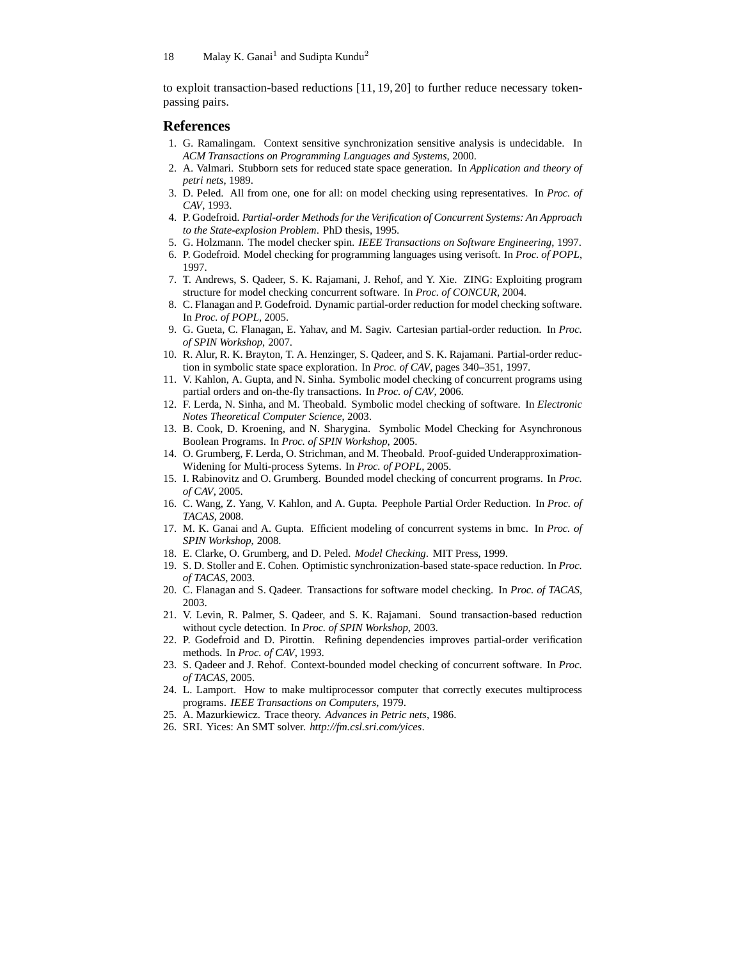to exploit transaction-based reductions [11, 19, 20] to further reduce necessary tokenpassing pairs.

#### **References**

- 1. G. Ramalingam. Context sensitive synchronization sensitive analysis is undecidable. In *ACM Transactions on Programming Languages and Systems*, 2000.
- 2. A. Valmari. Stubborn sets for reduced state space generation. In *Application and theory of petri nets*, 1989.
- 3. D. Peled. All from one, one for all: on model checking using representatives. In *Proc. of CAV*, 1993.
- 4. P. Godefroid. *Partial-order Methods for the Verification of Concurrent Systems: An Approach to the State-explosion Problem*. PhD thesis, 1995.
- 5. G. Holzmann. The model checker spin. *IEEE Transactions on Software Engineering*, 1997.
- 6. P. Godefroid. Model checking for programming languages using verisoft. In *Proc. of POPL*, 1997.
- 7. T. Andrews, S. Qadeer, S. K. Rajamani, J. Rehof, and Y. Xie. ZING: Exploiting program structure for model checking concurrent software. In *Proc. of CONCUR*, 2004.
- 8. C. Flanagan and P. Godefroid. Dynamic partial-order reduction for model checking software. In *Proc. of POPL*, 2005.
- 9. G. Gueta, C. Flanagan, E. Yahav, and M. Sagiv. Cartesian partial-order reduction. In *Proc. of SPIN Workshop*, 2007.
- 10. R. Alur, R. K. Brayton, T. A. Henzinger, S. Qadeer, and S. K. Rajamani. Partial-order reduction in symbolic state space exploration. In *Proc. of CAV*, pages 340–351, 1997.
- 11. V. Kahlon, A. Gupta, and N. Sinha. Symbolic model checking of concurrent programs using partial orders and on-the-fly transactions. In *Proc. of CAV*, 2006.
- 12. F. Lerda, N. Sinha, and M. Theobald. Symbolic model checking of software. In *Electronic Notes Theoretical Computer Science*, 2003.
- 13. B. Cook, D. Kroening, and N. Sharygina. Symbolic Model Checking for Asynchronous Boolean Programs. In *Proc. of SPIN Workshop*, 2005.
- 14. O. Grumberg, F. Lerda, O. Strichman, and M. Theobald. Proof-guided Underapproximation-Widening for Multi-process Sytems. In *Proc. of POPL*, 2005.
- 15. I. Rabinovitz and O. Grumberg. Bounded model checking of concurrent programs. In *Proc. of CAV*, 2005.
- 16. C. Wang, Z. Yang, V. Kahlon, and A. Gupta. Peephole Partial Order Reduction. In *Proc. of TACAS*, 2008.
- 17. M. K. Ganai and A. Gupta. Efficient modeling of concurrent systems in bmc. In *Proc. of SPIN Workshop*, 2008.
- 18. E. Clarke, O. Grumberg, and D. Peled. *Model Checking*. MIT Press, 1999.
- 19. S. D. Stoller and E. Cohen. Optimistic synchronization-based state-space reduction. In *Proc. of TACAS*, 2003.
- 20. C. Flanagan and S. Qadeer. Transactions for software model checking. In *Proc. of TACAS*, 2003.
- 21. V. Levin, R. Palmer, S. Qadeer, and S. K. Rajamani. Sound transaction-based reduction without cycle detection. In *Proc. of SPIN Workshop*, 2003.
- 22. P. Godefroid and D. Pirottin. Refining dependencies improves partial-order verification methods. In *Proc. of CAV*, 1993.
- 23. S. Qadeer and J. Rehof. Context-bounded model checking of concurrent software. In *Proc. of TACAS*, 2005.
- 24. L. Lamport. How to make multiprocessor computer that correctly executes multiprocess programs. *IEEE Transactions on Computers*, 1979.
- 25. A. Mazurkiewicz. Trace theory. *Advances in Petric nets*, 1986.
- 26. SRI. Yices: An SMT solver. *http://fm.csl.sri.com/yices*.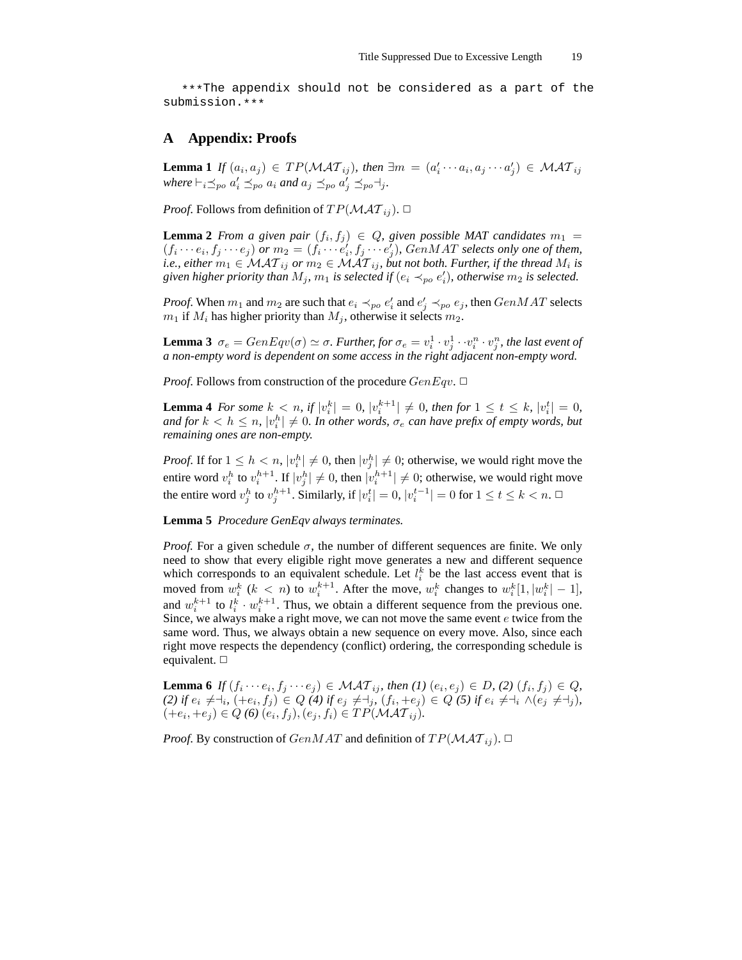\*\*\*The appendix should not be considered as a part of the submission.\*\*\*

## **A Appendix: Proofs**

**Lemma 1** *If*  $(a_i, a_j) \in TP(\mathcal{MAT}_{ij})$ , then  $\exists m = (a'_i \cdots a_i, a_j \cdots a'_j) \in \mathcal{MAT}_{ij}$ where  $\vdash_i \preceq_{po} a'_i \preceq_{po} a_i$  and  $a_j \preceq_{po} a'_j \preceq_{po} \exists_j$ .

*Proof.* Follows from definition of  $TP(\mathcal{MAT}_{ii})$ .  $\Box$ 

**Lemma 2** *From a given pair*  $(f_i, f_j) \in Q$ , given possible MAT candidates  $m_1 =$  $(f_i \cdots e_i, f_j \cdots e_j)$  or  $m_2 = (f_i \cdots e'_i, f_j \cdots e'_j)$ ,  $GenMAT$  selects only one of them, i.e., either  $m_1 \in {\mathcal{MAT}}_{ij}$  or  $m_2 \in {\mathcal{MAT}}_{ij}$ , but not both. Further, if the thread  $M_i$  is given higher priority than  $M_j$ ,  $m_1$  is selected if  $(e_i\prec_{po}e'_i)$ , otherwise  $m_2$  is selected.

*Proof.* When  $m_1$  and  $m_2$  are such that  $e_i \prec_{po} e'_i$  and  $e'_j \prec_{po} e_j$ , then  $GenMAT$  selects  $m_1$  if  $M_i$  has higher priority than  $M_j$ , otherwise it selects  $m_2$ .

**Lemma 3**  $\sigma_e = GenEqv(\sigma) \simeq \sigma$ . Further, for  $\sigma_e = v_i^1 \cdot v_j^1 \cdot v_i^n \cdot v_j^n$ , the last event of *a non-empty word is dependent on some access in the right adjacent non-empty word.*

*Proof.* Follows from construction of the procedure  $GenEqv. \Box$ 

**Lemma 4** For some  $k < n$ , if  $|v_i^k| = 0$ ,  $|v_i^{k+1}| \neq 0$ , then for  $1 \leq t \leq k$ ,  $|v_i^t| = 0$ , *and for*  $k < h \le n$ ,  $|v_i^h| \ne 0$ . In other words,  $\sigma_e$  can have prefix of empty words, but *remaining ones are non-empty.*

*Proof.* If for  $1 \leq h < n$ ,  $|v_i^h| \neq 0$ , then  $|v_j^h| \neq 0$ ; otherwise, we would right move the entire word  $v_i^h$  to  $v_i^{h+1}$ . If  $|v_j^h| \neq 0$ , then  $|v_i^{h+1}| \neq 0$ ; otherwise, we would right move the entire word  $v_j^h$  to  $v_j^{h+1}$ . Similarly, if  $|v_i^t|=0,$   $|v_i^{t-1}|=0$  for  $1\le t\le k < n$ .  $\Box$ 

**Lemma 5** *Procedure GenEqv always terminates.*

*Proof.* For a given schedule  $\sigma$ , the number of different sequences are finite. We only need to show that every eligible right move generates a new and different sequence which corresponds to an equivalent schedule. Let  $l_i^k$  be the last access event that is moved from  $w_i^k$  ( $k < n$ ) to  $w_i^{k+1}$ . After the move,  $w_i^k$  changes to  $w_i^k[1, |w_i^k| - 1]$ , and  $w_i^{k+1}$  to  $l_i^k \cdot w_i^{k+1}$ . Thus, we obtain a different sequence from the previous one. Since, we always make a right move, we can not move the same event e twice from the same word. Thus, we always obtain a new sequence on every move. Also, since each right move respects the dependency (conflict) ordering, the corresponding schedule is equivalent.  $\square$ 

**Lemma 6** *If*  $(f_i \cdots e_i, f_j \cdots e_j) \in \mathcal{MAT}_{ij}$ , then (1)  $(e_i, e_j) \in D$ , (2)  $(f_i, f_j) \in Q$ , *(2)* if  $e_i \neq \dashv_i$ ,  $(+e_i, f_j) \in Q$  *(4)* if  $e_j \neq \dashv_j$ ,  $(f_i, +e_j) \in Q$  *(5)* if  $e_i \neq \dashv_i \land (e_j \neq \dashv_j)$ ,  $(+e_i, +e_j) \in Q$  (6)  $(e_i, f_j), (e_j, f_i) \in TP(\mathcal{MAT}_{ij}).$ 

*Proof.* By construction of  $GenMAT$  and definition of  $TP(\mathcal{MAT}_{ij})$ .  $\Box$